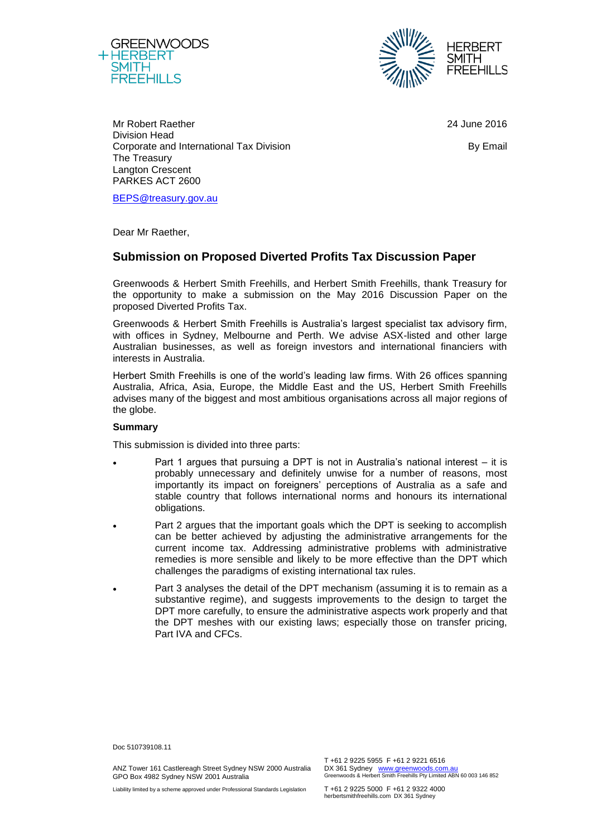



Mr Robert Raether Division Head Corporate and International Tax Division The Treasury Langton Crescent PARKES ACT 2600

24 June 2016

By Email

Dear Mr Raether,

[BEPS@treasury.gov.au](mailto:BEPS@treasury.gov.au)

# **Submission on Proposed Diverted Profits Tax Discussion Paper**

Greenwoods & Herbert Smith Freehills, and Herbert Smith Freehills, thank Treasury for the opportunity to make a submission on the May 2016 Discussion Paper on the proposed Diverted Profits Tax.

Greenwoods & Herbert Smith Freehills is Australia's largest specialist tax advisory firm, with offices in Sydney, Melbourne and Perth. We advise ASX-listed and other large Australian businesses, as well as foreign investors and international financiers with interests in Australia.

Herbert Smith Freehills is one of the world's leading law firms. With 26 offices spanning Australia, Africa, Asia, Europe, the Middle East and the US, Herbert Smith Freehills advises many of the biggest and most ambitious organisations across all major regions of the globe.

# **Summary**

This submission is divided into three parts:

- Part 1 argues that pursuing a DPT is not in Australia's national interest it is probably unnecessary and definitely unwise for a number of reasons, most importantly its impact on foreigners' perceptions of Australia as a safe and stable country that follows international norms and honours its international obligations.
- Part 2 argues that the important goals which the DPT is seeking to accomplish can be better achieved by adjusting the administrative arrangements for the current income tax. Addressing administrative problems with administrative remedies is more sensible and likely to be more effective than the DPT which challenges the paradigms of existing international tax rules.
- Part 3 analyses the detail of the DPT mechanism (assuming it is to remain as a substantive regime), and suggests improvements to the design to target the DPT more carefully, to ensure the administrative aspects work properly and that the DPT meshes with our existing laws; especially those on transfer pricing, Part IVA and CFCs.

Doc 510739108.11

ANZ Tower 161 Castlereagh Street Sydney NSW 2000 Australia GPO Box 4982 Sydney NSW 2001 Australia

T +61 2 9225 5955 F +61 2 9221 6516 DX 361 Sydney [www.greenwoods.com.au](http://www.greenwoods.com.au/)<br>Greenwoods & Herbert Smith Freehills Pty Limited ABN 60 003 146 852

Liability limited by a scheme approved under Professional Standards Legislation

T +61 2 9225 5000 F +61 2 9322 4000 herbertsmithfreehills.com DX 361 Sydney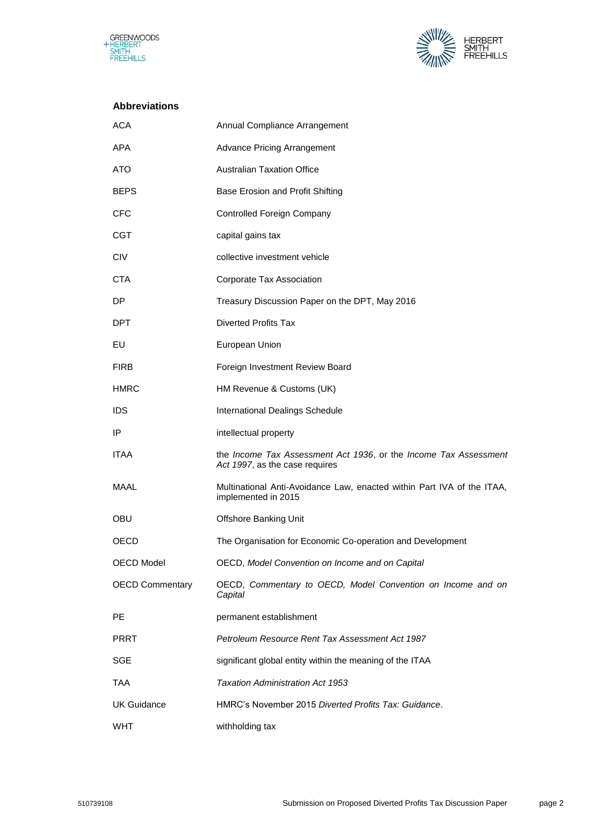



# **Abbreviations**

| <b>ACA</b>             | Annual Compliance Arrangement                                                                      |
|------------------------|----------------------------------------------------------------------------------------------------|
| <b>APA</b>             | <b>Advance Pricing Arrangement</b>                                                                 |
| ATO                    | <b>Australian Taxation Office</b>                                                                  |
| <b>BEPS</b>            | Base Erosion and Profit Shifting                                                                   |
| <b>CFC</b>             | <b>Controlled Foreign Company</b>                                                                  |
| <b>CGT</b>             | capital gains tax                                                                                  |
| <b>CIV</b>             | collective investment vehicle                                                                      |
| <b>CTA</b>             | Corporate Tax Association                                                                          |
| DP.                    | Treasury Discussion Paper on the DPT, May 2016                                                     |
| DPT.                   | <b>Diverted Profits Tax</b>                                                                        |
| EU                     | European Union                                                                                     |
| <b>FIRB</b>            | Foreign Investment Review Board                                                                    |
| <b>HMRC</b>            | HM Revenue & Customs (UK)                                                                          |
| <b>IDS</b>             | <b>International Dealings Schedule</b>                                                             |
| IP                     | intellectual property                                                                              |
| <b>ITAA</b>            | the Income Tax Assessment Act 1936, or the Income Tax Assessment<br>Act 1997, as the case requires |
| MAAL                   | Multinational Anti-Avoidance Law, enacted within Part IVA of the ITAA,<br>implemented in 2015      |
| <b>OBU</b>             | Offshore Banking Unit                                                                              |
| OECD                   | The Organisation for Economic Co-operation and Development                                         |
| OECD Model             | OECD, Model Convention on Income and on Capital                                                    |
| <b>OECD Commentary</b> | OECD, Commentary to OECD, Model Convention on Income and on<br>Capital                             |
| PE                     | permanent establishment                                                                            |
| <b>PRRT</b>            | Petroleum Resource Rent Tax Assessment Act 1987                                                    |
| <b>SGE</b>             | significant global entity within the meaning of the ITAA                                           |
| TAA                    | Taxation Administration Act 1953                                                                   |
| <b>UK Guidance</b>     | HMRC's November 2015 Diverted Profits Tax: Guidance.                                               |
| <b>WHT</b>             | withholding tax                                                                                    |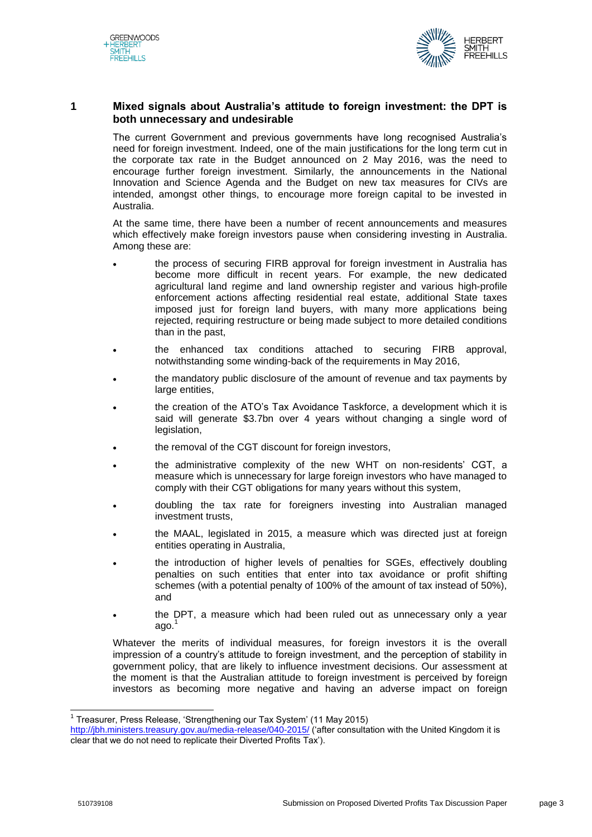



# **1 Mixed signals about Australia's attitude to foreign investment: the DPT is both unnecessary and undesirable**

The current Government and previous governments have long recognised Australia's need for foreign investment. Indeed, one of the main justifications for the long term cut in the corporate tax rate in the Budget announced on 2 May 2016, was the need to encourage further foreign investment. Similarly, the announcements in the National Innovation and Science Agenda and the Budget on new tax measures for CIVs are intended, amongst other things, to encourage more foreign capital to be invested in Australia.

At the same time, there have been a number of recent announcements and measures which effectively make foreign investors pause when considering investing in Australia. Among these are:

- the process of securing FIRB approval for foreign investment in Australia has become more difficult in recent years. For example, the new dedicated agricultural land regime and land ownership register and various high-profile enforcement actions affecting residential real estate, additional State taxes imposed just for foreign land buyers, with many more applications being rejected, requiring restructure or being made subject to more detailed conditions than in the past,
- the enhanced tax conditions attached to securing FIRB approval, notwithstanding some winding-back of the requirements in May 2016,
- the mandatory public disclosure of the amount of revenue and tax payments by large entities,
- the creation of the ATO's Tax Avoidance Taskforce, a development which it is said will generate \$3.7bn over 4 years without changing a single word of legislation,
- the removal of the CGT discount for foreign investors,
- the administrative complexity of the new WHT on non-residents' CGT, a measure which is unnecessary for large foreign investors who have managed to comply with their CGT obligations for many years without this system,
- doubling the tax rate for foreigners investing into Australian managed investment trusts,
- the MAAL, legislated in 2015, a measure which was directed just at foreign entities operating in Australia,
- the introduction of higher levels of penalties for SGEs, effectively doubling penalties on such entities that enter into tax avoidance or profit shifting schemes (with a potential penalty of 100% of the amount of tax instead of 50%), and
- the DPT, a measure which had been ruled out as unnecessary only a year ago. $1$

Whatever the merits of individual measures, for foreign investors it is the overall impression of a country's attitude to foreign investment, and the perception of stability in government policy, that are likely to influence investment decisions. Our assessment at the moment is that the Australian attitude to foreign investment is perceived by foreign investors as becoming more negative and having an adverse impact on foreign

<sup>&</sup>lt;sup>1</sup> Treasurer, Press Release, 'Strengthening our Tax System' (11 May 2015)

<http://jbh.ministers.treasury.gov.au/media-release/040-2015/> ('after consultation with the United Kingdom it is clear that we do not need to replicate their Diverted Profits Tax').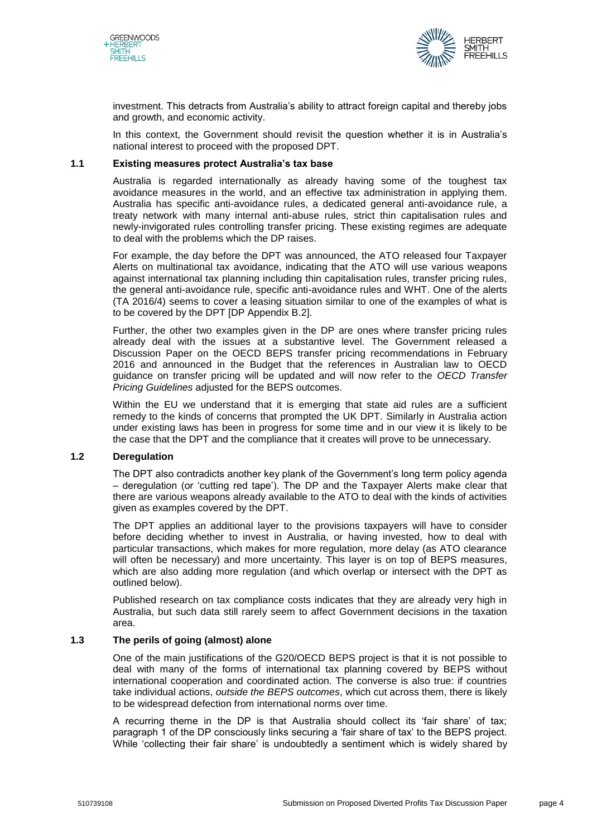



investment. This detracts from Australia's ability to attract foreign capital and thereby jobs and growth, and economic activity.

In this context, the Government should revisit the question whether it is in Australia's national interest to proceed with the proposed DPT.

# **1.1 Existing measures protect Australia's tax base**

Australia is regarded internationally as already having some of the toughest tax avoidance measures in the world, and an effective tax administration in applying them. Australia has specific anti-avoidance rules, a dedicated general anti-avoidance rule, a treaty network with many internal anti-abuse rules, strict thin capitalisation rules and newly-invigorated rules controlling transfer pricing. These existing regimes are adequate to deal with the problems which the DP raises.

For example, the day before the DPT was announced, the ATO released four Taxpayer Alerts on multinational tax avoidance, indicating that the ATO will use various weapons against international tax planning including thin capitalisation rules, transfer pricing rules, the general anti-avoidance rule, specific anti-avoidance rules and WHT. One of the alerts (TA 2016/4) seems to cover a leasing situation similar to one of the examples of what is to be covered by the DPT [DP Appendix B.2].

Further, the other two examples given in the DP are ones where transfer pricing rules already deal with the issues at a substantive level. The Government released a Discussion Paper on the OECD BEPS transfer pricing recommendations in February 2016 and announced in the Budget that the references in Australian law to OECD guidance on transfer pricing will be updated and will now refer to the *OECD Transfer Pricing Guidelines* adjusted for the BEPS outcomes.

Within the EU we understand that it is emerging that state aid rules are a sufficient remedy to the kinds of concerns that prompted the UK DPT. Similarly in Australia action under existing laws has been in progress for some time and in our view it is likely to be the case that the DPT and the compliance that it creates will prove to be unnecessary.

# **1.2 Deregulation**

The DPT also contradicts another key plank of the Government's long term policy agenda – deregulation (or 'cutting red tape'). The DP and the Taxpayer Alerts make clear that there are various weapons already available to the ATO to deal with the kinds of activities given as examples covered by the DPT.

The DPT applies an additional layer to the provisions taxpayers will have to consider before deciding whether to invest in Australia, or having invested, how to deal with particular transactions, which makes for more regulation, more delay (as ATO clearance will often be necessary) and more uncertainty. This layer is on top of BEPS measures, which are also adding more regulation (and which overlap or intersect with the DPT as outlined below).

Published research on tax compliance costs indicates that they are already very high in Australia, but such data still rarely seem to affect Government decisions in the taxation area.

# **1.3 The perils of going (almost) alone**

One of the main justifications of the G20/OECD BEPS project is that it is not possible to deal with many of the forms of international tax planning covered by BEPS without international cooperation and coordinated action. The converse is also true: if countries take individual actions, *outside the BEPS outcomes*, which cut across them, there is likely to be widespread defection from international norms over time.

A recurring theme in the DP is that Australia should collect its 'fair share' of tax; paragraph 1 of the DP consciously links securing a 'fair share of tax' to the BEPS project. While 'collecting their fair share' is undoubtedly a sentiment which is widely shared by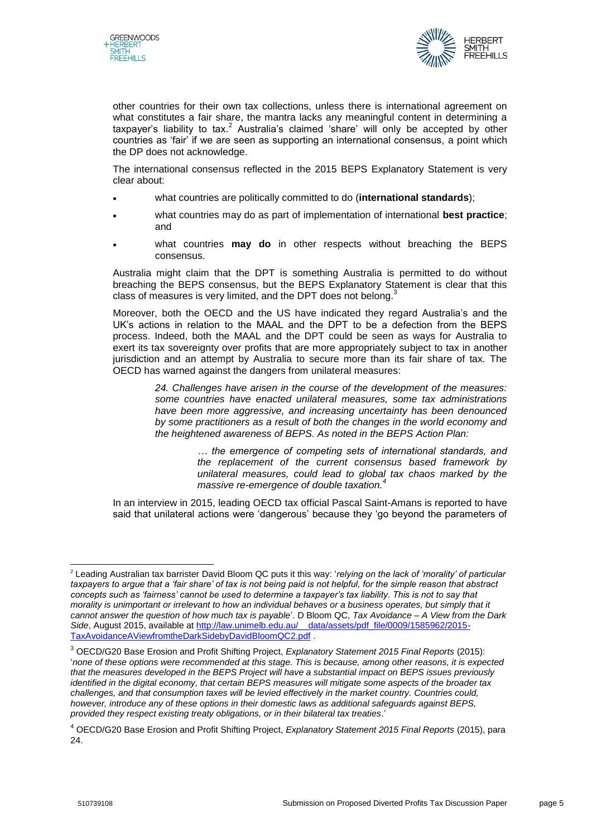



other countries for their own tax collections, unless there is international agreement on what constitutes a fair share, the mantra lacks any meaningful content in determining a taxpayer's liability to tax.<sup>2</sup> Australia's claimed 'share' will only be accepted by other countries as 'fair' if we are seen as supporting an international consensus, a point which the DP does not acknowledge.

The international consensus reflected in the 2015 BEPS Explanatory Statement is very clear about:

- what countries are politically committed to do (**international standards**);
- what countries may do as part of implementation of international **best practice**; and
- what countries **may do** in other respects without breaching the BEPS consensus.

Australia might claim that the DPT is something Australia is permitted to do without breaching the BEPS consensus, but the BEPS Explanatory Statement is clear that this class of measures is very limited, and the DPT does not belong.<sup>3</sup>

Moreover, both the OECD and the US have indicated they regard Australia's and the UK's actions in relation to the MAAL and the DPT to be a defection from the BEPS process. Indeed, both the MAAL and the DPT could be seen as ways for Australia to exert its tax sovereignty over profits that are more appropriately subject to tax in another jurisdiction and an attempt by Australia to secure more than its fair share of tax. The OECD has warned against the dangers from unilateral measures:

> *24. Challenges have arisen in the course of the development of the measures: some countries have enacted unilateral measures, some tax administrations have been more aggressive, and increasing uncertainty has been denounced by some practitioners as a result of both the changes in the world economy and the heightened awareness of BEPS. As noted in the BEPS Action Plan:*

> > *… the emergence of competing sets of international standards, and the replacement of the current consensus based framework by unilateral measures, could lead to global tax chaos marked by the massive re-emergence of double taxation.<sup>4</sup>*

In an interview in 2015, leading OECD tax official Pascal Saint-Amans is reported to have said that unilateral actions were 'dangerous' because they 'go beyond the parameters of

 2 Leading Australian tax barrister David Bloom QC puts it this way: '*relying on the lack of 'morality' of particular*  taxpayers to argue that a 'fair share' of tax is not being paid is not helpful, for the simple reason that abstract *concepts such as 'fairness' cannot be used to determine a taxpayer's tax liability. This is not to say that morality is unimportant or irrelevant to how an individual behaves or a business operates, but simply that it cannot answer the question of how much tax is payable*'. D Bloom QC, *Tax Avoidance – A View from the Dark Side*, August 2015, available at [http://law.unimelb.edu.au/\\_\\_data/assets/pdf\\_file/0009/1585962/2015-](http://law.unimelb.edu.au/__data/assets/pdf_file/0009/1585962/2015-TaxAvoidanceAViewfromtheDarkSidebyDavidBloomQC2.pdf) [TaxAvoidanceAViewfromtheDarkSidebyDavidBloomQC2.pdf](http://law.unimelb.edu.au/__data/assets/pdf_file/0009/1585962/2015-TaxAvoidanceAViewfromtheDarkSidebyDavidBloomQC2.pdf) .

<sup>3</sup> OECD/G20 Base Erosion and Profit Shifting Project, *Explanatory Statement 2015 Final Reports* (2015): '*none of these options were recommended at this stage. This is because, among other reasons, it is expected that the measures developed in the BEPS Project will have a substantial impact on BEPS issues previously identified in the digital economy, that certain BEPS measures will mitigate some aspects of the broader tax challenges, and that consumption taxes will be levied effectively in the market country. Countries could, however, introduce any of these options in their domestic laws as additional safeguards against BEPS, provided they respect existing treaty obligations, or in their bilateral tax treaties*.'

<sup>4</sup> OECD/G20 Base Erosion and Profit Shifting Project, *Explanatory Statement 2015 Final Reports* (2015), para 24.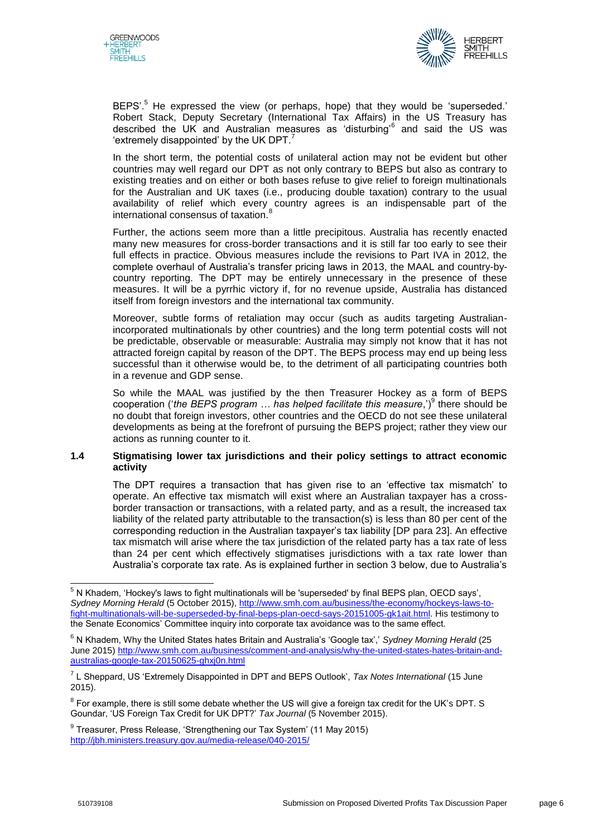



BEPS'.<sup>5</sup> He expressed the view (or perhaps, hope) that they would be 'superseded.' Robert Stack, Deputy Secretary (International Tax Affairs) in the US Treasury has described the UK and Australian measures as 'disturbing'<sup>6</sup> and said the US was 'extremely disappointed' by the UK DPT. $^7$ 

In the short term, the potential costs of unilateral action may not be evident but other countries may well regard our DPT as not only contrary to BEPS but also as contrary to existing treaties and on either or both bases refuse to give relief to foreign multinationals for the Australian and UK taxes (i.e., producing double taxation) contrary to the usual availability of relief which every country agrees is an indispensable part of the international consensus of taxation.

Further, the actions seem more than a little precipitous. Australia has recently enacted many new measures for cross-border transactions and it is still far too early to see their full effects in practice. Obvious measures include the revisions to Part IVA in 2012, the complete overhaul of Australia's transfer pricing laws in 2013, the MAAL and country-bycountry reporting. The DPT may be entirely unnecessary in the presence of these measures. It will be a pyrrhic victory if, for no revenue upside, Australia has distanced itself from foreign investors and the international tax community.

Moreover, subtle forms of retaliation may occur (such as audits targeting Australianincorporated multinationals by other countries) and the long term potential costs will not be predictable, observable or measurable: Australia may simply not know that it has not attracted foreign capital by reason of the DPT. The BEPS process may end up being less successful than it otherwise would be, to the detriment of all participating countries both in a revenue and GDP sense.

So while the MAAL was justified by the then Treasurer Hockey as a form of BEPS cooperation ('the BEPS program ... has helped facilitate this measure,')<sup>9</sup> there should be no doubt that foreign investors, other countries and the OECD do not see these unilateral developments as being at the forefront of pursuing the BEPS project; rather they view our actions as running counter to it.

# **1.4 Stigmatising lower tax jurisdictions and their policy settings to attract economic activity**

The DPT requires a transaction that has given rise to an 'effective tax mismatch' to operate. An effective tax mismatch will exist where an Australian taxpayer has a crossborder transaction or transactions, with a related party, and as a result, the increased tax liability of the related party attributable to the transaction(s) is less than 80 per cent of the corresponding reduction in the Australian taxpayer's tax liability [DP para 23]. An effective tax mismatch will arise where the tax jurisdiction of the related party has a tax rate of less than 24 per cent which effectively stigmatises jurisdictions with a tax rate lower than Australia's corporate tax rate. As is explained further in section 3 below, due to Australia's

 $^5$  N Khadem, 'Hockey's laws to fight multinationals will be 'superseded' by final BEPS plan, OECD says', *Sydney Morning Herald* (5 October 2015)[, http://www.smh.com.au/business/the-economy/hockeys-laws-to](http://www.smh.com.au/business/the-economy/hockeys-laws-to-fight-multinationals-will-be-superseded-by-final-beps-plan-oecd-says-20151005-gk1ait.html)[fight-multinationals-will-be-superseded-by-final-beps-plan-oecd-says-20151005-gk1ait.html.](http://www.smh.com.au/business/the-economy/hockeys-laws-to-fight-multinationals-will-be-superseded-by-final-beps-plan-oecd-says-20151005-gk1ait.html) His testimony to the Senate Economics' Committee inquiry into corporate tax avoidance was to the same effect.

<sup>6</sup> N Khadem, Why the United States hates Britain and Australia's 'Google tax',' *Sydney Morning Herald* (25 June 2015[\) http://www.smh.com.au/business/comment-and-analysis/why-the-united-states-hates-britain-and](http://www.smh.com.au/business/comment-and-analysis/why-the-united-states-hates-britain-and-australias-google-tax-20150625-ghxj0n.html)[australias-google-tax-20150625-ghxj0n.html](http://www.smh.com.au/business/comment-and-analysis/why-the-united-states-hates-britain-and-australias-google-tax-20150625-ghxj0n.html)

<sup>7</sup> L Sheppard, US 'Extremely Disappointed in DPT and BEPS Outlook', *Tax Notes International* (15 June 2015).

 $^8$  For example, there is still some debate whether the US will give a foreign tax credit for the UK's DPT. S Goundar, 'US Foreign Tax Credit for UK DPT?' *Tax Journal* (5 November 2015).

<sup>&</sup>lt;sup>9</sup> Treasurer, Press Release, 'Strengthening our Tax System' (11 May 2015) <http://jbh.ministers.treasury.gov.au/media-release/040-2015/>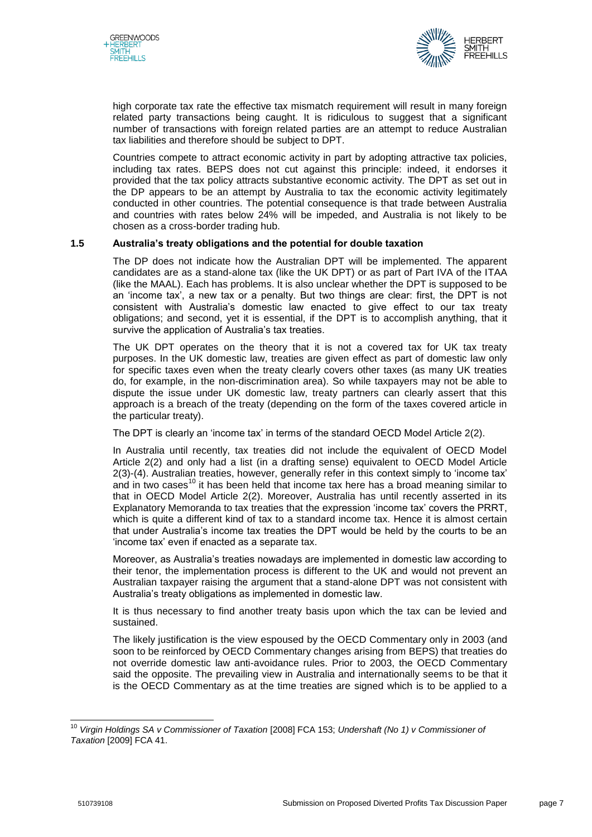



high corporate tax rate the effective tax mismatch requirement will result in many foreign related party transactions being caught. It is ridiculous to suggest that a significant number of transactions with foreign related parties are an attempt to reduce Australian tax liabilities and therefore should be subject to DPT.

Countries compete to attract economic activity in part by adopting attractive tax policies, including tax rates. BEPS does not cut against this principle: indeed, it endorses it provided that the tax policy attracts substantive economic activity. The DPT as set out in the DP appears to be an attempt by Australia to tax the economic activity legitimately conducted in other countries. The potential consequence is that trade between Australia and countries with rates below 24% will be impeded, and Australia is not likely to be chosen as a cross-border trading hub.

# **1.5 Australia's treaty obligations and the potential for double taxation**

The DP does not indicate how the Australian DPT will be implemented. The apparent candidates are as a stand-alone tax (like the UK DPT) or as part of Part IVA of the ITAA (like the MAAL). Each has problems. It is also unclear whether the DPT is supposed to be an 'income tax', a new tax or a penalty. But two things are clear: first, the DPT is not consistent with Australia's domestic law enacted to give effect to our tax treaty obligations; and second, yet it is essential, if the DPT is to accomplish anything, that it survive the application of Australia's tax treaties.

The UK DPT operates on the theory that it is not a covered tax for UK tax treaty purposes. In the UK domestic law, treaties are given effect as part of domestic law only for specific taxes even when the treaty clearly covers other taxes (as many UK treaties do, for example, in the non-discrimination area). So while taxpayers may not be able to dispute the issue under UK domestic law, treaty partners can clearly assert that this approach is a breach of the treaty (depending on the form of the taxes covered article in the particular treaty).

The DPT is clearly an 'income tax' in terms of the standard OECD Model Article 2(2).

In Australia until recently, tax treaties did not include the equivalent of OECD Model Article 2(2) and only had a list (in a drafting sense) equivalent to OECD Model Article 2(3)-(4). Australian treaties, however, generally refer in this context simply to 'income tax' and in two cases<sup>10</sup> it has been held that income tax here has a broad meaning similar to that in OECD Model Article 2(2). Moreover, Australia has until recently asserted in its Explanatory Memoranda to tax treaties that the expression 'income tax' covers the PRRT, which is quite a different kind of tax to a standard income tax. Hence it is almost certain that under Australia's income tax treaties the DPT would be held by the courts to be an 'income tax' even if enacted as a separate tax.

Moreover, as Australia's treaties nowadays are implemented in domestic law according to their tenor, the implementation process is different to the UK and would not prevent an Australian taxpayer raising the argument that a stand-alone DPT was not consistent with Australia's treaty obligations as implemented in domestic law.

It is thus necessary to find another treaty basis upon which the tax can be levied and sustained.

The likely justification is the view espoused by the OECD Commentary only in 2003 (and soon to be reinforced by OECD Commentary changes arising from BEPS) that treaties do not override domestic law anti-avoidance rules. Prior to 2003, the OECD Commentary said the opposite. The prevailing view in Australia and internationally seems to be that it is the OECD Commentary as at the time treaties are signed which is to be applied to a

<sup>10</sup> *Virgin Holdings SA v Commissioner of Taxation* [2008] FCA 153; *Undershaft (No 1) v Commissioner of Taxation* [2009] FCA 41.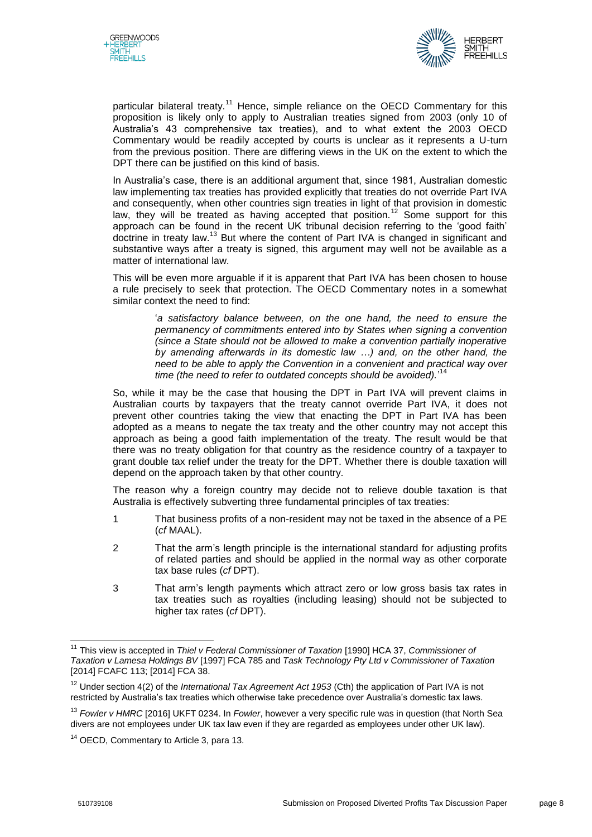



particular bilateral treaty.<sup>11</sup> Hence, simple reliance on the OECD Commentary for this proposition is likely only to apply to Australian treaties signed from 2003 (only 10 of Australia's 43 comprehensive tax treaties), and to what extent the 2003 OECD Commentary would be readily accepted by courts is unclear as it represents a U-turn from the previous position. There are differing views in the UK on the extent to which the DPT there can be justified on this kind of basis.

In Australia's case, there is an additional argument that, since 1981, Australian domestic law implementing tax treaties has provided explicitly that treaties do not override Part IVA and consequently, when other countries sign treaties in light of that provision in domestic law, they will be treated as having accepted that position.<sup>12</sup> Some support for this approach can be found in the recent UK tribunal decision referring to the 'good faith' doctrine in treaty law.<sup>13</sup> But where the content of Part IVA is changed in significant and substantive ways after a treaty is signed, this argument may well not be available as a matter of international law.

This will be even more arguable if it is apparent that Part IVA has been chosen to house a rule precisely to seek that protection. The OECD Commentary notes in a somewhat similar context the need to find:

> '*a satisfactory balance between, on the one hand, the need to ensure the permanency of commitments entered into by States when signing a convention (since a State should not be allowed to make a convention partially inoperative by amending afterwards in its domestic law …) and, on the other hand, the need to be able to apply the Convention in a convenient and practical way over time (the need to refer to outdated concepts should be avoided).*' 14

So, while it may be the case that housing the DPT in Part IVA will prevent claims in Australian courts by taxpayers that the treaty cannot override Part IVA, it does not prevent other countries taking the view that enacting the DPT in Part IVA has been adopted as a means to negate the tax treaty and the other country may not accept this approach as being a good faith implementation of the treaty. The result would be that there was no treaty obligation for that country as the residence country of a taxpayer to grant double tax relief under the treaty for the DPT. Whether there is double taxation will depend on the approach taken by that other country.

The reason why a foreign country may decide not to relieve double taxation is that Australia is effectively subverting three fundamental principles of tax treaties:

- 1 That business profits of a non-resident may not be taxed in the absence of a PE (*cf* MAAL).
- 2 That the arm's length principle is the international standard for adjusting profits of related parties and should be applied in the normal way as other corporate tax base rules (*cf* DPT).
- 3 That arm's length payments which attract zero or low gross basis tax rates in tax treaties such as royalties (including leasing) should not be subjected to higher tax rates (*cf* DPT).

 $\overline{\phantom{a}}$ <sup>11</sup> This view is accepted in *Thiel v Federal Commissioner of Taxation* [1990] HCA 37, *Commissioner of Taxation v Lamesa Holdings BV* [1997] FCA 785 and *Task Technology Pty Ltd v Commissioner of Taxation* [2014] FCAFC 113; [2014] FCA 38.

<sup>12</sup> Under section 4(2) of the *International Tax Agreement Act 1953* (Cth) the application of Part IVA is not restricted by Australia's tax treaties which otherwise take precedence over Australia's domestic tax laws.

<sup>13</sup> *Fowler v HMRC* [2016] UKFT 0234. In *Fowler*, however a very specific rule was in question (that North Sea divers are not employees under UK tax law even if they are regarded as employees under other UK law).

<sup>&</sup>lt;sup>14</sup> OECD, Commentary to Article 3, para 13.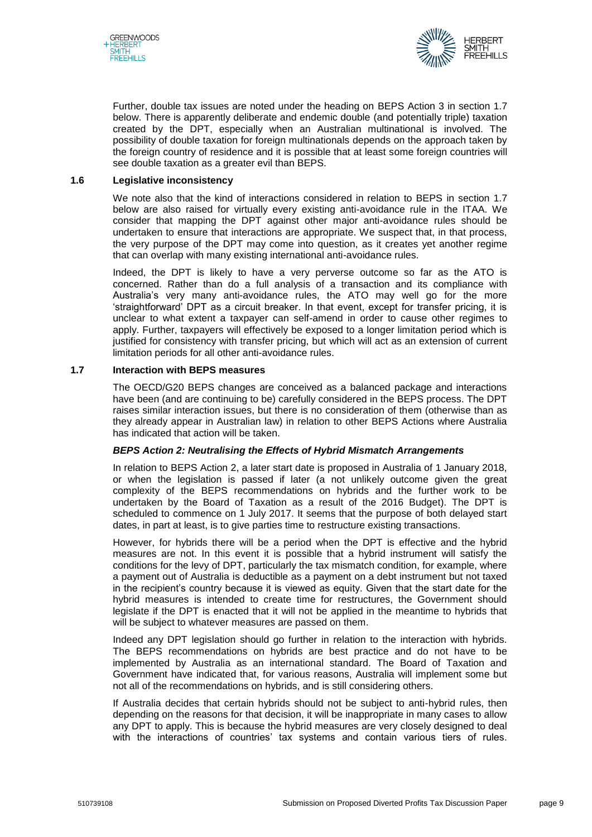



Further, double tax issues are noted under the heading on BEPS Action 3 in section 1.7 below. There is apparently deliberate and endemic double (and potentially triple) taxation created by the DPT, especially when an Australian multinational is involved. The possibility of double taxation for foreign multinationals depends on the approach taken by the foreign country of residence and it is possible that at least some foreign countries will see double taxation as a greater evil than BEPS.

#### **1.6 Legislative inconsistency**

We note also that the kind of interactions considered in relation to BEPS in section 1.7 below are also raised for virtually every existing anti-avoidance rule in the ITAA. We consider that mapping the DPT against other major anti-avoidance rules should be undertaken to ensure that interactions are appropriate. We suspect that, in that process, the very purpose of the DPT may come into question, as it creates yet another regime that can overlap with many existing international anti-avoidance rules.

Indeed, the DPT is likely to have a very perverse outcome so far as the ATO is concerned. Rather than do a full analysis of a transaction and its compliance with Australia's very many anti-avoidance rules, the ATO may well go for the more 'straightforward' DPT as a circuit breaker. In that event, except for transfer pricing, it is unclear to what extent a taxpayer can self-amend in order to cause other regimes to apply. Further, taxpayers will effectively be exposed to a longer limitation period which is justified for consistency with transfer pricing, but which will act as an extension of current limitation periods for all other anti-avoidance rules.

#### **1.7 Interaction with BEPS measures**

The OECD/G20 BEPS changes are conceived as a balanced package and interactions have been (and are continuing to be) carefully considered in the BEPS process. The DPT raises similar interaction issues, but there is no consideration of them (otherwise than as they already appear in Australian law) in relation to other BEPS Actions where Australia has indicated that action will be taken.

# *BEPS Action 2: Neutralising the Effects of Hybrid Mismatch Arrangements*

In relation to BEPS Action 2, a later start date is proposed in Australia of 1 January 2018, or when the legislation is passed if later (a not unlikely outcome given the great complexity of the BEPS recommendations on hybrids and the further work to be undertaken by the Board of Taxation as a result of the 2016 Budget). The DPT is scheduled to commence on 1 July 2017. It seems that the purpose of both delayed start dates, in part at least, is to give parties time to restructure existing transactions.

However, for hybrids there will be a period when the DPT is effective and the hybrid measures are not. In this event it is possible that a hybrid instrument will satisfy the conditions for the levy of DPT, particularly the tax mismatch condition, for example, where a payment out of Australia is deductible as a payment on a debt instrument but not taxed in the recipient's country because it is viewed as equity. Given that the start date for the hybrid measures is intended to create time for restructures, the Government should legislate if the DPT is enacted that it will not be applied in the meantime to hybrids that will be subject to whatever measures are passed on them.

Indeed any DPT legislation should go further in relation to the interaction with hybrids. The BEPS recommendations on hybrids are best practice and do not have to be implemented by Australia as an international standard. The Board of Taxation and Government have indicated that, for various reasons, Australia will implement some but not all of the recommendations on hybrids, and is still considering others.

If Australia decides that certain hybrids should not be subject to anti-hybrid rules, then depending on the reasons for that decision, it will be inappropriate in many cases to allow any DPT to apply. This is because the hybrid measures are very closely designed to deal with the interactions of countries' tax systems and contain various tiers of rules.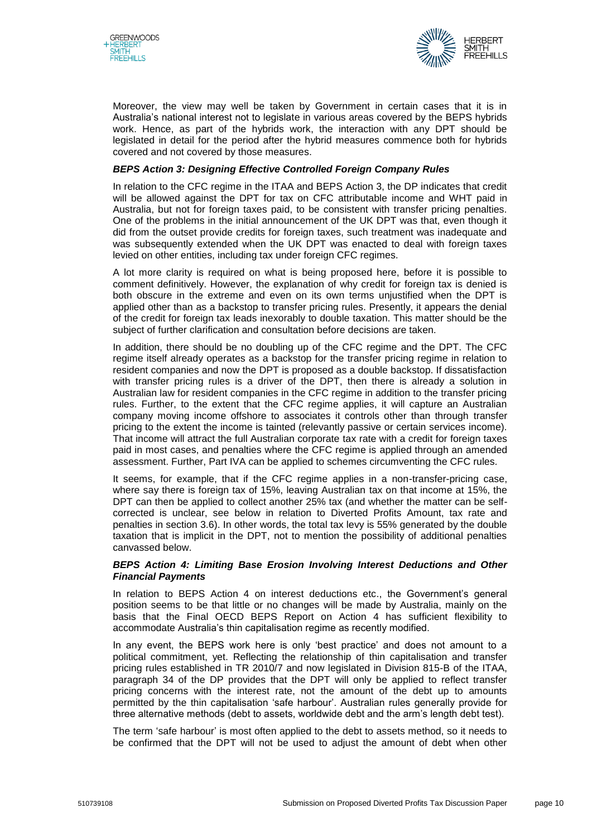



Moreover, the view may well be taken by Government in certain cases that it is in Australia's national interest not to legislate in various areas covered by the BEPS hybrids work. Hence, as part of the hybrids work, the interaction with any DPT should be legislated in detail for the period after the hybrid measures commence both for hybrids covered and not covered by those measures.

# *BEPS Action 3: Designing Effective Controlled Foreign Company Rules*

In relation to the CFC regime in the ITAA and BEPS Action 3, the DP indicates that credit will be allowed against the DPT for tax on CFC attributable income and WHT paid in Australia, but not for foreign taxes paid, to be consistent with transfer pricing penalties. One of the problems in the initial announcement of the UK DPT was that, even though it did from the outset provide credits for foreign taxes, such treatment was inadequate and was subsequently extended when the UK DPT was enacted to deal with foreign taxes levied on other entities, including tax under foreign CFC regimes.

A lot more clarity is required on what is being proposed here, before it is possible to comment definitively. However, the explanation of why credit for foreign tax is denied is both obscure in the extreme and even on its own terms unjustified when the DPT is applied other than as a backstop to transfer pricing rules. Presently, it appears the denial of the credit for foreign tax leads inexorably to double taxation. This matter should be the subject of further clarification and consultation before decisions are taken.

In addition, there should be no doubling up of the CFC regime and the DPT. The CFC regime itself already operates as a backstop for the transfer pricing regime in relation to resident companies and now the DPT is proposed as a double backstop. If dissatisfaction with transfer pricing rules is a driver of the DPT, then there is already a solution in Australian law for resident companies in the CFC regime in addition to the transfer pricing rules. Further, to the extent that the CFC regime applies, it will capture an Australian company moving income offshore to associates it controls other than through transfer pricing to the extent the income is tainted (relevantly passive or certain services income). That income will attract the full Australian corporate tax rate with a credit for foreign taxes paid in most cases, and penalties where the CFC regime is applied through an amended assessment. Further, Part IVA can be applied to schemes circumventing the CFC rules.

It seems, for example, that if the CFC regime applies in a non-transfer-pricing case, where say there is foreign tax of 15%, leaving Australian tax on that income at 15%, the DPT can then be applied to collect another 25% tax (and whether the matter can be selfcorrected is unclear, see below in relation to Diverted Profits Amount, tax rate and penalties in section 3.6). In other words, the total tax levy is 55% generated by the double taxation that is implicit in the DPT, not to mention the possibility of additional penalties canvassed below.

# *BEPS Action 4: Limiting Base Erosion Involving Interest Deductions and Other Financial Payments*

In relation to BEPS Action 4 on interest deductions etc., the Government's general position seems to be that little or no changes will be made by Australia, mainly on the basis that the Final OECD BEPS Report on Action 4 has sufficient flexibility to accommodate Australia's thin capitalisation regime as recently modified.

In any event, the BEPS work here is only 'best practice' and does not amount to a political commitment, yet. Reflecting the relationship of thin capitalisation and transfer pricing rules established in TR 2010/7 and now legislated in Division 815-B of the ITAA, paragraph 34 of the DP provides that the DPT will only be applied to reflect transfer pricing concerns with the interest rate, not the amount of the debt up to amounts permitted by the thin capitalisation 'safe harbour'. Australian rules generally provide for three alternative methods (debt to assets, worldwide debt and the arm's length debt test).

The term 'safe harbour' is most often applied to the debt to assets method, so it needs to be confirmed that the DPT will not be used to adjust the amount of debt when other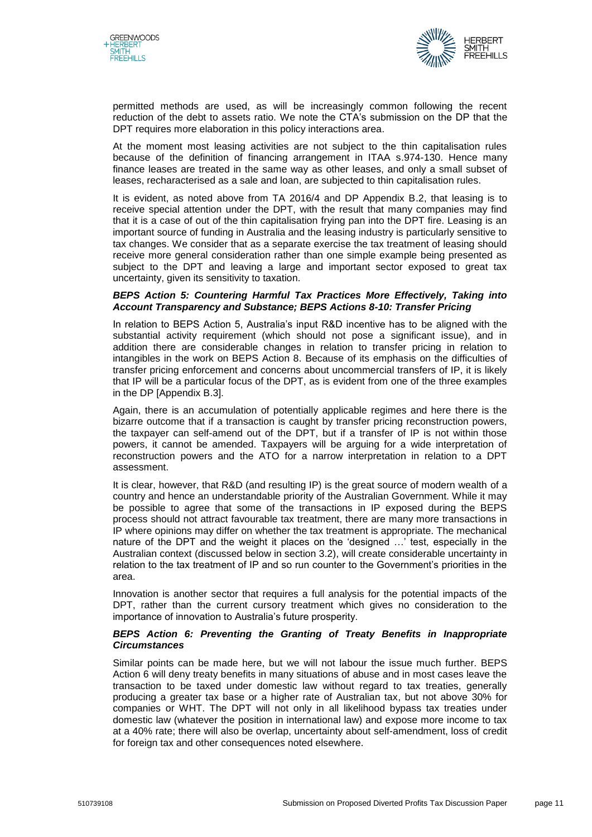



permitted methods are used, as will be increasingly common following the recent reduction of the debt to assets ratio. We note the CTA's submission on the DP that the DPT requires more elaboration in this policy interactions area.

At the moment most leasing activities are not subject to the thin capitalisation rules because of the definition of financing arrangement in ITAA s.974-130. Hence many finance leases are treated in the same way as other leases, and only a small subset of leases, recharacterised as a sale and loan, are subjected to thin capitalisation rules.

It is evident, as noted above from TA 2016/4 and DP Appendix B.2, that leasing is to receive special attention under the DPT, with the result that many companies may find that it is a case of out of the thin capitalisation frying pan into the DPT fire. Leasing is an important source of funding in Australia and the leasing industry is particularly sensitive to tax changes. We consider that as a separate exercise the tax treatment of leasing should receive more general consideration rather than one simple example being presented as subject to the DPT and leaving a large and important sector exposed to great tax uncertainty, given its sensitivity to taxation.

#### *BEPS Action 5: Countering Harmful Tax Practices More Effectively, Taking into Account Transparency and Substance; BEPS Actions 8-10: Transfer Pricing*

In relation to BEPS Action 5, Australia's input R&D incentive has to be aligned with the substantial activity requirement (which should not pose a significant issue), and in addition there are considerable changes in relation to transfer pricing in relation to intangibles in the work on BEPS Action 8. Because of its emphasis on the difficulties of transfer pricing enforcement and concerns about uncommercial transfers of IP, it is likely that IP will be a particular focus of the DPT, as is evident from one of the three examples in the DP [Appendix B.3].

Again, there is an accumulation of potentially applicable regimes and here there is the bizarre outcome that if a transaction is caught by transfer pricing reconstruction powers, the taxpayer can self-amend out of the DPT, but if a transfer of IP is not within those powers, it cannot be amended. Taxpayers will be arguing for a wide interpretation of reconstruction powers and the ATO for a narrow interpretation in relation to a DPT assessment.

It is clear, however, that R&D (and resulting IP) is the great source of modern wealth of a country and hence an understandable priority of the Australian Government. While it may be possible to agree that some of the transactions in IP exposed during the BEPS process should not attract favourable tax treatment, there are many more transactions in IP where opinions may differ on whether the tax treatment is appropriate. The mechanical nature of the DPT and the weight it places on the 'designed …' test, especially in the Australian context (discussed below in section 3.2), will create considerable uncertainty in relation to the tax treatment of IP and so run counter to the Government's priorities in the area.

Innovation is another sector that requires a full analysis for the potential impacts of the DPT, rather than the current cursory treatment which gives no consideration to the importance of innovation to Australia's future prosperity.

# *BEPS Action 6: Preventing the Granting of Treaty Benefits in Inappropriate Circumstances*

Similar points can be made here, but we will not labour the issue much further. BEPS Action 6 will deny treaty benefits in many situations of abuse and in most cases leave the transaction to be taxed under domestic law without regard to tax treaties, generally producing a greater tax base or a higher rate of Australian tax, but not above 30% for companies or WHT. The DPT will not only in all likelihood bypass tax treaties under domestic law (whatever the position in international law) and expose more income to tax at a 40% rate; there will also be overlap, uncertainty about self-amendment, loss of credit for foreign tax and other consequences noted elsewhere.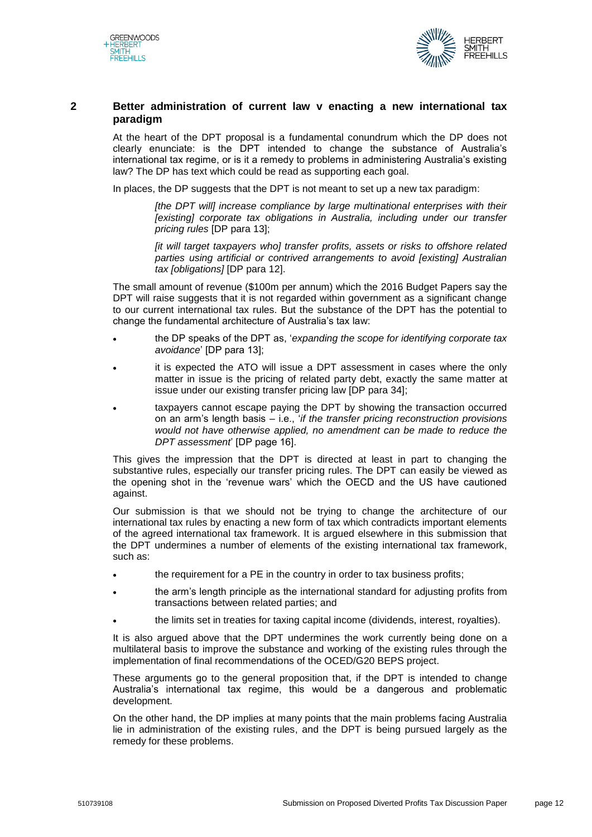



# **2 Better administration of current law v enacting a new international tax paradigm**

At the heart of the DPT proposal is a fundamental conundrum which the DP does not clearly enunciate: is the DPT intended to change the substance of Australia's international tax regime, or is it a remedy to problems in administering Australia's existing law? The DP has text which could be read as supporting each goal.

In places, the DP suggests that the DPT is not meant to set up a new tax paradigm:

*[the DPT will] increase compliance by large multinational enterprises with their [existing] corporate tax obligations in Australia, including under our transfer pricing rules* [DP para 13];

*[it will target taxpayers who] transfer profits, assets or risks to offshore related parties using artificial or contrived arrangements to avoid [existing] Australian tax [obligations]* [DP para 12].

The small amount of revenue (\$100m per annum) which the 2016 Budget Papers say the DPT will raise suggests that it is not regarded within government as a significant change to our current international tax rules. But the substance of the DPT has the potential to change the fundamental architecture of Australia's tax law:

- the DP speaks of the DPT as, '*expanding the scope for identifying corporate tax avoidance*' [DP para 13];
- it is expected the ATO will issue a DPT assessment in cases where the only matter in issue is the pricing of related party debt, exactly the same matter at issue under our existing transfer pricing law [DP para 34];
- taxpayers cannot escape paying the DPT by showing the transaction occurred on an arm's length basis – i.e., '*if the transfer pricing reconstruction provisions would not have otherwise applied, no amendment can be made to reduce the DPT assessment*' [DP page 16].

This gives the impression that the DPT is directed at least in part to changing the substantive rules, especially our transfer pricing rules. The DPT can easily be viewed as the opening shot in the 'revenue wars' which the OECD and the US have cautioned against.

Our submission is that we should not be trying to change the architecture of our international tax rules by enacting a new form of tax which contradicts important elements of the agreed international tax framework. It is argued elsewhere in this submission that the DPT undermines a number of elements of the existing international tax framework, such as:

- the requirement for a PE in the country in order to tax business profits;
- the arm's length principle as the international standard for adjusting profits from transactions between related parties; and
- the limits set in treaties for taxing capital income (dividends, interest, royalties).

It is also argued above that the DPT undermines the work currently being done on a multilateral basis to improve the substance and working of the existing rules through the implementation of final recommendations of the OCED/G20 BEPS project.

These arguments go to the general proposition that, if the DPT is intended to change Australia's international tax regime, this would be a dangerous and problematic development.

On the other hand, the DP implies at many points that the main problems facing Australia lie in administration of the existing rules, and the DPT is being pursued largely as the remedy for these problems.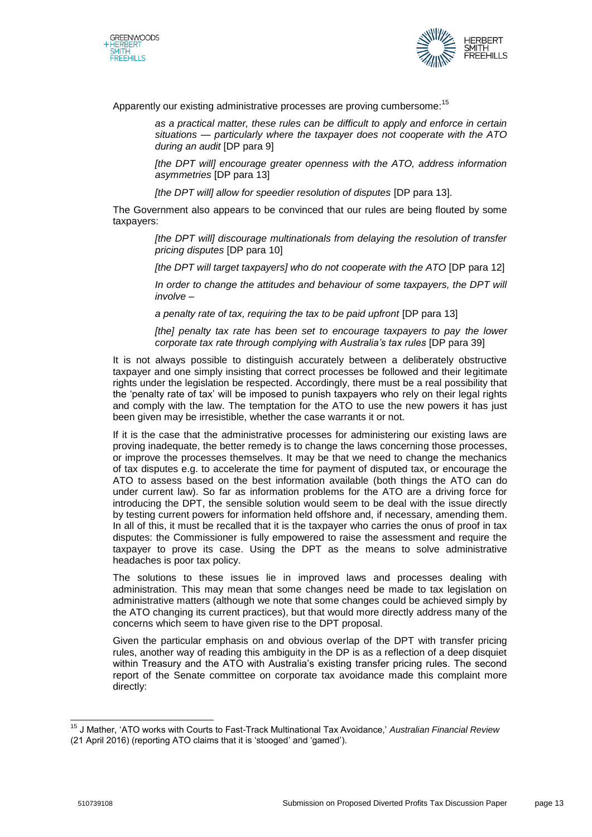



Apparently our existing administrative processes are proving cumbersome:<sup>15</sup>

*as a practical matter, these rules can be difficult to apply and enforce in certain situations — particularly where the taxpayer does not cooperate with the ATO during an audit* [DP para 9]

*[the DPT will] encourage greater openness with the ATO, address information asymmetries* [DP para 13]

*[the DPT will] allow for speedier resolution of disputes [DP para 13].* 

The Government also appears to be convinced that our rules are being flouted by some taxpayers:

> *[the DPT will] discourage multinationals from delaying the resolution of transfer pricing disputes* [DP para 10]

> *[the DPT will target taxpayers] who do not cooperate with the ATO* [DP para 12]

*In order to change the attitudes and behaviour of some taxpayers, the DPT will involve –*

*a penalty rate of tax, requiring the tax to be paid upfront* [DP para 13]

*[the] penalty tax rate has been set to encourage taxpayers to pay the lower corporate tax rate through complying with Australia's tax rules* [DP para 39]

It is not always possible to distinguish accurately between a deliberately obstructive taxpayer and one simply insisting that correct processes be followed and their legitimate rights under the legislation be respected. Accordingly, there must be a real possibility that the 'penalty rate of tax' will be imposed to punish taxpayers who rely on their legal rights and comply with the law. The temptation for the ATO to use the new powers it has just been given may be irresistible, whether the case warrants it or not.

If it is the case that the administrative processes for administering our existing laws are proving inadequate, the better remedy is to change the laws concerning those processes, or improve the processes themselves. It may be that we need to change the mechanics of tax disputes e.g. to accelerate the time for payment of disputed tax, or encourage the ATO to assess based on the best information available (both things the ATO can do under current law). So far as information problems for the ATO are a driving force for introducing the DPT, the sensible solution would seem to be deal with the issue directly by testing current powers for information held offshore and, if necessary, amending them. In all of this, it must be recalled that it is the taxpayer who carries the onus of proof in tax disputes: the Commissioner is fully empowered to raise the assessment and require the taxpayer to prove its case. Using the DPT as the means to solve administrative headaches is poor tax policy.

The solutions to these issues lie in improved laws and processes dealing with administration. This may mean that some changes need be made to tax legislation on administrative matters (although we note that some changes could be achieved simply by the ATO changing its current practices), but that would more directly address many of the concerns which seem to have given rise to the DPT proposal.

Given the particular emphasis on and obvious overlap of the DPT with transfer pricing rules, another way of reading this ambiguity in the DP is as a reflection of a deep disquiet within Treasury and the ATO with Australia's existing transfer pricing rules. The second report of the Senate committee on corporate tax avoidance made this complaint more directly:

<sup>15</sup> J Mather, 'ATO works with Courts to Fast-Track Multinational Tax Avoidance,' *Australian Financial Review* (21 April 2016) (reporting ATO claims that it is 'stooged' and 'gamed').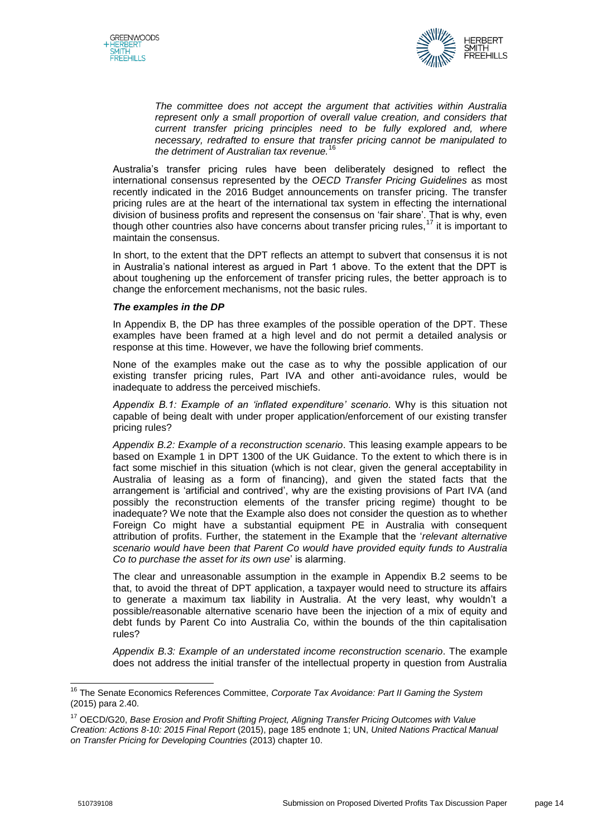



*The committee does not accept the argument that activities within Australia*  represent only a small proportion of overall value creation, and considers that *current transfer pricing principles need to be fully explored and, where necessary, redrafted to ensure that transfer pricing cannot be manipulated to*  the detriment of Australian tax revenue.<sup>1</sup>

Australia's transfer pricing rules have been deliberately designed to reflect the international consensus represented by the *OECD Transfer Pricing Guidelines* as most recently indicated in the 2016 Budget announcements on transfer pricing. The transfer pricing rules are at the heart of the international tax system in effecting the international division of business profits and represent the consensus on 'fair share'. That is why, even though other countries also have concerns about transfer pricing rules,<sup>17</sup> it is important to maintain the consensus.

In short, to the extent that the DPT reflects an attempt to subvert that consensus it is not in Australia's national interest as argued in Part 1 above. To the extent that the DPT is about toughening up the enforcement of transfer pricing rules, the better approach is to change the enforcement mechanisms, not the basic rules.

# *The examples in the DP*

In Appendix B, the DP has three examples of the possible operation of the DPT. These examples have been framed at a high level and do not permit a detailed analysis or response at this time. However, we have the following brief comments.

None of the examples make out the case as to why the possible application of our existing transfer pricing rules, Part IVA and other anti-avoidance rules, would be inadequate to address the perceived mischiefs.

*Appendix B.1: Example of an 'inflated expenditure' scenario*. Why is this situation not capable of being dealt with under proper application/enforcement of our existing transfer pricing rules?

*Appendix B.2: Example of a reconstruction scenario*. This leasing example appears to be based on Example 1 in DPT 1300 of the UK Guidance. To the extent to which there is in fact some mischief in this situation (which is not clear, given the general acceptability in Australia of leasing as a form of financing), and given the stated facts that the arrangement is 'artificial and contrived', why are the existing provisions of Part IVA (and possibly the reconstruction elements of the transfer pricing regime) thought to be inadequate? We note that the Example also does not consider the question as to whether Foreign Co might have a substantial equipment PE in Australia with consequent attribution of profits. Further, the statement in the Example that the '*relevant alternative scenario would have been that Parent Co would have provided equity funds to Australia Co to purchase the asset for its own use*' is alarming.

The clear and unreasonable assumption in the example in Appendix B.2 seems to be that, to avoid the threat of DPT application, a taxpayer would need to structure its affairs to generate a maximum tax liability in Australia. At the very least, why wouldn't a possible/reasonable alternative scenario have been the injection of a mix of equity and debt funds by Parent Co into Australia Co, within the bounds of the thin capitalisation rules?

*Appendix B.3: Example of an understated income reconstruction scenario*. The example does not address the initial transfer of the intellectual property in question from Australia

 $\overline{\phantom{a}}$ 

<sup>16</sup> The Senate Economics References Committee, *Corporate Tax Avoidance: Part II Gaming the System* (2015) para 2.40.

<sup>17</sup> OECD/G20, *Base Erosion and Profit Shifting Project, Aligning Transfer Pricing Outcomes with Value Creation: Actions 8-10: 2015 Final Report* (2015), page 185 endnote 1; UN, *United Nations Practical Manual on Transfer Pricing for Developing Countries* (2013) chapter 10.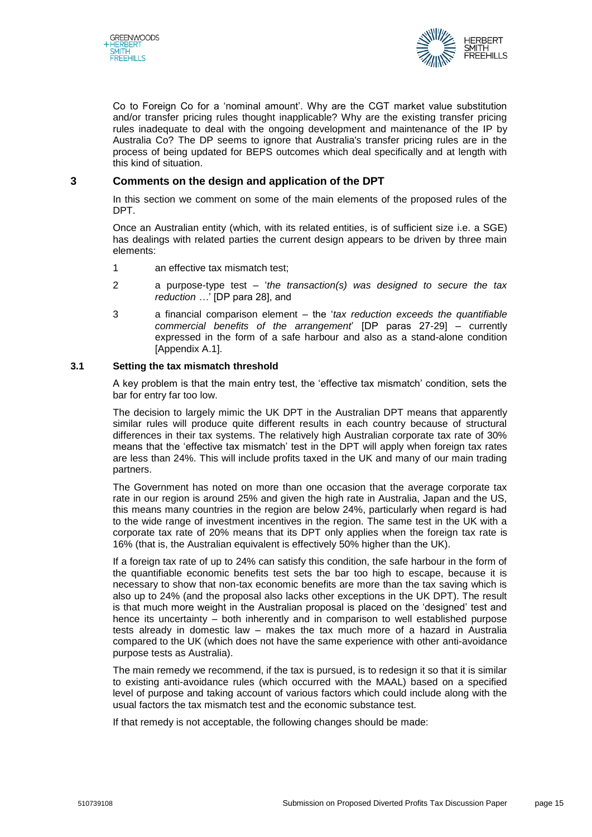



Co to Foreign Co for a 'nominal amount'. Why are the CGT market value substitution and/or transfer pricing rules thought inapplicable? Why are the existing transfer pricing rules inadequate to deal with the ongoing development and maintenance of the IP by Australia Co? The DP seems to ignore that Australia's transfer pricing rules are in the process of being updated for BEPS outcomes which deal specifically and at length with this kind of situation.

# **3 Comments on the design and application of the DPT**

In this section we comment on some of the main elements of the proposed rules of the DPT.

Once an Australian entity (which, with its related entities, is of sufficient size i.e. a SGE) has dealings with related parties the current design appears to be driven by three main elements:

- 1 an effective tax mismatch test;
- 2 a purpose-type test '*the transaction(s) was designed to secure the tax reduction …*' [DP para 28], and
- 3 a financial comparison element the '*tax reduction exceeds the quantifiable commercial benefits of the arrangement*' [DP paras 27-29] – currently expressed in the form of a safe harbour and also as a stand-alone condition [Appendix A.1].

#### **3.1 Setting the tax mismatch threshold**

A key problem is that the main entry test, the 'effective tax mismatch' condition, sets the bar for entry far too low.

The decision to largely mimic the UK DPT in the Australian DPT means that apparently similar rules will produce quite different results in each country because of structural differences in their tax systems. The relatively high Australian corporate tax rate of 30% means that the 'effective tax mismatch' test in the DPT will apply when foreign tax rates are less than 24%. This will include profits taxed in the UK and many of our main trading partners.

The Government has noted on more than one occasion that the average corporate tax rate in our region is around 25% and given the high rate in Australia, Japan and the US, this means many countries in the region are below 24%, particularly when regard is had to the wide range of investment incentives in the region. The same test in the UK with a corporate tax rate of 20% means that its DPT only applies when the foreign tax rate is 16% (that is, the Australian equivalent is effectively 50% higher than the UK).

If a foreign tax rate of up to 24% can satisfy this condition, the safe harbour in the form of the quantifiable economic benefits test sets the bar too high to escape, because it is necessary to show that non-tax economic benefits are more than the tax saving which is also up to 24% (and the proposal also lacks other exceptions in the UK DPT). The result is that much more weight in the Australian proposal is placed on the 'designed' test and hence its uncertainty – both inherently and in comparison to well established purpose tests already in domestic law – makes the tax much more of a hazard in Australia compared to the UK (which does not have the same experience with other anti-avoidance purpose tests as Australia).

The main remedy we recommend, if the tax is pursued, is to redesign it so that it is similar to existing anti-avoidance rules (which occurred with the MAAL) based on a specified level of purpose and taking account of various factors which could include along with the usual factors the tax mismatch test and the economic substance test.

If that remedy is not acceptable, the following changes should be made: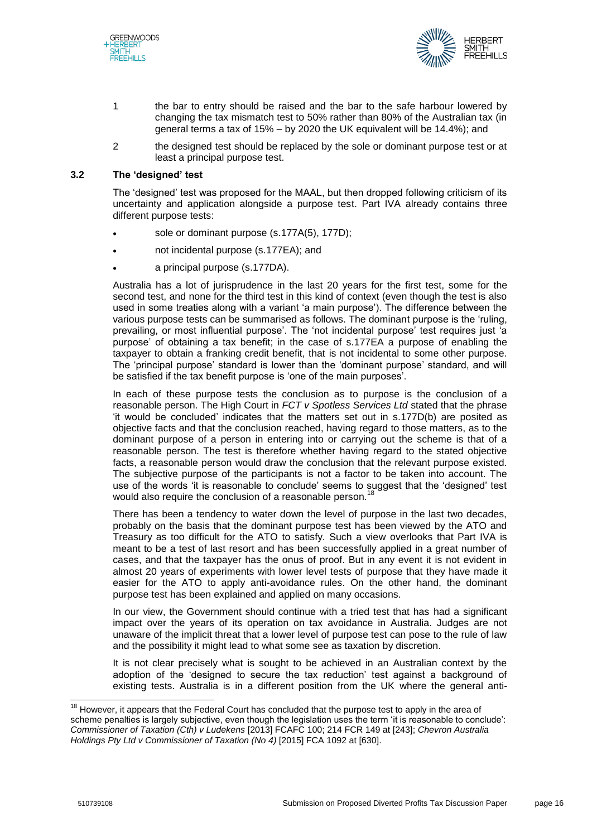



- 1 the bar to entry should be raised and the bar to the safe harbour lowered by changing the tax mismatch test to 50% rather than 80% of the Australian tax (in general terms a tax of 15% – by 2020 the UK equivalent will be 14.4%); and
- 2 the designed test should be replaced by the sole or dominant purpose test or at least a principal purpose test.

#### **3.2 The 'designed' test**

The 'designed' test was proposed for the MAAL, but then dropped following criticism of its uncertainty and application alongside a purpose test. Part IVA already contains three different purpose tests:

- sole or dominant purpose (s.177A(5), 177D);
- not incidental purpose (s.177EA); and
- a principal purpose (s.177DA).

Australia has a lot of jurisprudence in the last 20 years for the first test, some for the second test, and none for the third test in this kind of context (even though the test is also used in some treaties along with a variant 'a main purpose'). The difference between the various purpose tests can be summarised as follows. The dominant purpose is the 'ruling, prevailing, or most influential purpose'. The 'not incidental purpose' test requires just 'a purpose' of obtaining a tax benefit; in the case of s.177EA a purpose of enabling the taxpayer to obtain a franking credit benefit, that is not incidental to some other purpose. The 'principal purpose' standard is lower than the 'dominant purpose' standard, and will be satisfied if the tax benefit purpose is 'one of the main purposes'.

In each of these purpose tests the conclusion as to purpose is the conclusion of a reasonable person. The High Court in *FCT v Spotless Services Ltd* stated that the phrase 'it would be concluded' indicates that the matters set out in s.177D(b) are posited as objective facts and that the conclusion reached, having regard to those matters, as to the dominant purpose of a person in entering into or carrying out the scheme is that of a reasonable person. The test is therefore whether having regard to the stated objective facts, a reasonable person would draw the conclusion that the relevant purpose existed. The subjective purpose of the participants is not a factor to be taken into account. The use of the words 'it is reasonable to conclude' seems to suggest that the 'designed' test would also require the conclusion of a reasonable person.<sup>18</sup>

There has been a tendency to water down the level of purpose in the last two decades, probably on the basis that the dominant purpose test has been viewed by the ATO and Treasury as too difficult for the ATO to satisfy. Such a view overlooks that Part IVA is meant to be a test of last resort and has been successfully applied in a great number of cases, and that the taxpayer has the onus of proof. But in any event it is not evident in almost 20 years of experiments with lower level tests of purpose that they have made it easier for the ATO to apply anti-avoidance rules. On the other hand, the dominant purpose test has been explained and applied on many occasions.

In our view, the Government should continue with a tried test that has had a significant impact over the years of its operation on tax avoidance in Australia. Judges are not unaware of the implicit threat that a lower level of purpose test can pose to the rule of law and the possibility it might lead to what some see as taxation by discretion.

It is not clear precisely what is sought to be achieved in an Australian context by the adoption of the 'designed to secure the tax reduction' test against a background of existing tests. Australia is in a different position from the UK where the general anti-

 $18$  However, it appears that the Federal Court has concluded that the purpose test to apply in the area of scheme penalties is largely subjective, even though the legislation uses the term 'it is reasonable to conclude': *Commissioner of Taxation (Cth) v Ludekens* [2013] FCAFC 100; 214 FCR 149 at [243]; *Chevron Australia Holdings Pty Ltd v Commissioner of Taxation (No 4)* [2015] FCA 1092 at [630].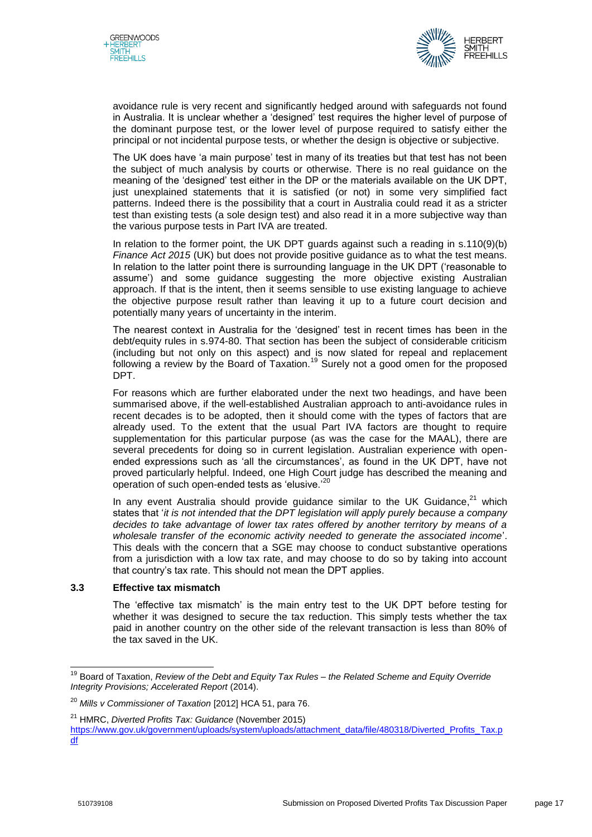



avoidance rule is very recent and significantly hedged around with safeguards not found in Australia. It is unclear whether a 'designed' test requires the higher level of purpose of the dominant purpose test, or the lower level of purpose required to satisfy either the principal or not incidental purpose tests, or whether the design is objective or subjective.

The UK does have 'a main purpose' test in many of its treaties but that test has not been the subject of much analysis by courts or otherwise. There is no real guidance on the meaning of the 'designed' test either in the DP or the materials available on the UK DPT, just unexplained statements that it is satisfied (or not) in some very simplified fact patterns. Indeed there is the possibility that a court in Australia could read it as a stricter test than existing tests (a sole design test) and also read it in a more subjective way than the various purpose tests in Part IVA are treated.

In relation to the former point, the UK DPT guards against such a reading in s.110(9)(b) *Finance Act 2015* (UK) but does not provide positive guidance as to what the test means. In relation to the latter point there is surrounding language in the UK DPT ('reasonable to assume') and some guidance suggesting the more objective existing Australian approach. If that is the intent, then it seems sensible to use existing language to achieve the objective purpose result rather than leaving it up to a future court decision and potentially many years of uncertainty in the interim.

The nearest context in Australia for the 'designed' test in recent times has been in the debt/equity rules in s.974-80. That section has been the subject of considerable criticism (including but not only on this aspect) and is now slated for repeal and replacement following a review by the Board of Taxation.<sup>19</sup> Surely not a good omen for the proposed DPT.

For reasons which are further elaborated under the next two headings, and have been summarised above, if the well-established Australian approach to anti-avoidance rules in recent decades is to be adopted, then it should come with the types of factors that are already used. To the extent that the usual Part IVA factors are thought to require supplementation for this particular purpose (as was the case for the MAAL), there are several precedents for doing so in current legislation. Australian experience with openended expressions such as 'all the circumstances', as found in the UK DPT, have not proved particularly helpful. Indeed, one High Court judge has described the meaning and operation of such open-ended tests as 'elusive.'<sup>20</sup>

In any event Australia should provide guidance similar to the UK Guidance, $^{21}$  which states that '*it is not intended that the DPT legislation will apply purely because a company decides to take advantage of lower tax rates offered by another territory by means of a wholesale transfer of the economic activity needed to generate the associated income*'. This deals with the concern that a SGE may choose to conduct substantive operations from a jurisdiction with a low tax rate, and may choose to do so by taking into account that country's tax rate. This should not mean the DPT applies.

# **3.3 Effective tax mismatch**

The 'effective tax mismatch' is the main entry test to the UK DPT before testing for whether it was designed to secure the tax reduction. This simply tests whether the tax paid in another country on the other side of the relevant transaction is less than 80% of the tax saved in the UK.

 $\overline{\phantom{a}}$ <sup>19</sup> Board of Taxation, *Review of the Debt and Equity Tax Rules – the Related Scheme and Equity Override Integrity Provisions; Accelerated Report* (2014).

<sup>20</sup> *Mills v Commissioner of Taxation* [2012] HCA 51, para 76.

<sup>21</sup> HMRC, *Diverted Profits Tax: Guidance* (November 2015)

[https://www.gov.uk/government/uploads/system/uploads/attachment\\_data/file/480318/Diverted\\_Profits\\_Tax.p](https://www.gov.uk/government/uploads/system/uploads/attachment_data/file/480318/Diverted_Profits_Tax.pdf) [df](https://www.gov.uk/government/uploads/system/uploads/attachment_data/file/480318/Diverted_Profits_Tax.pdf)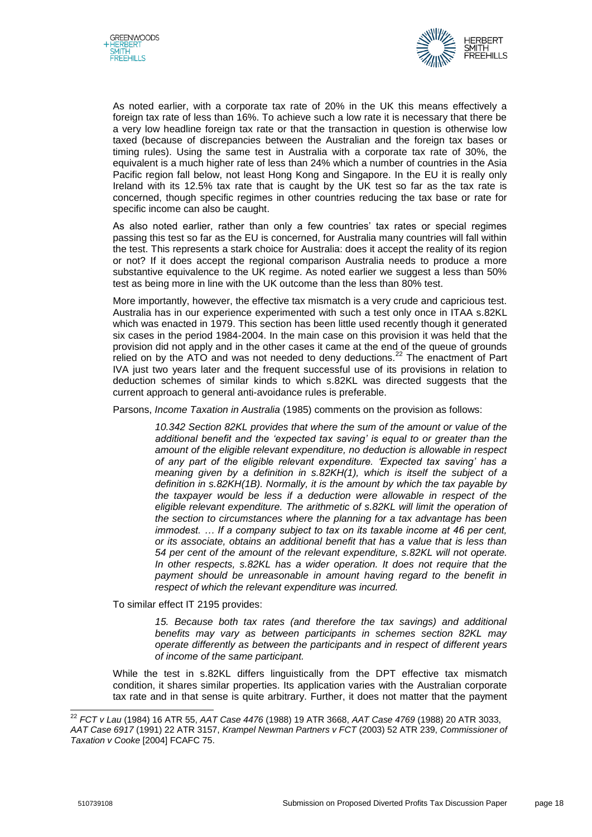



As noted earlier, with a corporate tax rate of 20% in the UK this means effectively a foreign tax rate of less than 16%. To achieve such a low rate it is necessary that there be a very low headline foreign tax rate or that the transaction in question is otherwise low taxed (because of discrepancies between the Australian and the foreign tax bases or timing rules). Using the same test in Australia with a corporate tax rate of 30%, the equivalent is a much higher rate of less than 24% which a number of countries in the Asia Pacific region fall below, not least Hong Kong and Singapore. In the EU it is really only Ireland with its 12.5% tax rate that is caught by the UK test so far as the tax rate is concerned, though specific regimes in other countries reducing the tax base or rate for specific income can also be caught.

As also noted earlier, rather than only a few countries' tax rates or special regimes passing this test so far as the EU is concerned, for Australia many countries will fall within the test. This represents a stark choice for Australia: does it accept the reality of its region or not? If it does accept the regional comparison Australia needs to produce a more substantive equivalence to the UK regime. As noted earlier we suggest a less than 50% test as being more in line with the UK outcome than the less than 80% test.

More importantly, however, the effective tax mismatch is a very crude and capricious test. Australia has in our experience experimented with such a test only once in ITAA s.82KL which was enacted in 1979. This section has been little used recently though it generated six cases in the period 1984-2004. In the main case on this provision it was held that the provision did not apply and in the other cases it came at the end of the queue of grounds relied on by the ATO and was not needed to deny deductions.<sup>22</sup> The enactment of Part IVA just two years later and the frequent successful use of its provisions in relation to deduction schemes of similar kinds to which s.82KL was directed suggests that the current approach to general anti-avoidance rules is preferable.

Parsons, *Income Taxation in Australia* (1985) comments on the provision as follows:

*10.342 Section 82KL provides that where the sum of the amount or value of the additional benefit and the 'expected tax saving' is equal to or greater than the amount of the eligible relevant expenditure, no deduction is allowable in respect of any part of the eligible relevant expenditure. 'Expected tax saving' has a meaning given by a definition in s.82KH(1), which is itself the subject of a definition in s.82KH(1B). Normally, it is the amount by which the tax payable by the taxpayer would be less if a deduction were allowable in respect of the eligible relevant expenditure. The arithmetic of s.82KL will limit the operation of the section to circumstances where the planning for a tax advantage has been immodest. … If a company subject to tax on its taxable income at 46 per cent, or its associate, obtains an additional benefit that has a value that is less than 54 per cent of the amount of the relevant expenditure, s.82KL will not operate. In other respects, s.82KL has a wider operation. It does not require that the payment should be unreasonable in amount having regard to the benefit in respect of which the relevant expenditure was incurred.* 

To similar effect IT 2195 provides:

*15. Because both tax rates (and therefore the tax savings) and additional benefits may vary as between participants in schemes section 82KL may operate differently as between the participants and in respect of different years of income of the same participant.*

While the test in s.82KL differs linguistically from the DPT effective tax mismatch condition, it shares similar properties. Its application varies with the Australian corporate tax rate and in that sense is quite arbitrary. Further, it does not matter that the payment

 $\overline{a}$ 

<sup>22</sup> *FCT v Lau* (1984) 16 ATR 55, *AAT Case 4476* (1988) 19 ATR 3668, *AAT Case 4769* (1988) 20 ATR 3033,

*AAT Case 6917* (1991) 22 ATR 3157, *Krampel Newman Partners v FCT* (2003) 52 ATR 239, *Commissioner of Taxation v Cooke* [2004] FCAFC 75.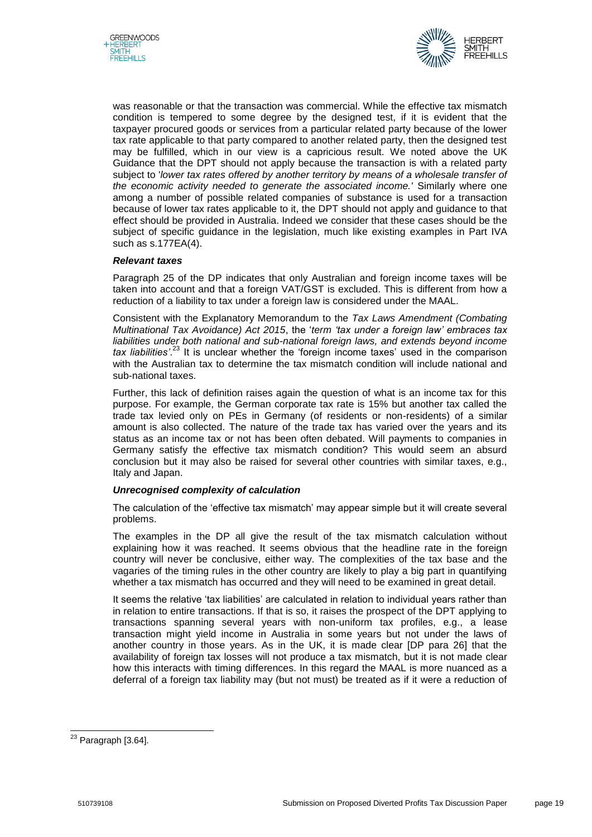



was reasonable or that the transaction was commercial. While the effective tax mismatch condition is tempered to some degree by the designed test, if it is evident that the taxpayer procured goods or services from a particular related party because of the lower tax rate applicable to that party compared to another related party, then the designed test may be fulfilled, which in our view is a capricious result. We noted above the UK Guidance that the DPT should not apply because the transaction is with a related party subject to '*lower tax rates offered by another territory by means of a wholesale transfer of the economic activity needed to generate the associated income.'* Similarly where one among a number of possible related companies of substance is used for a transaction because of lower tax rates applicable to it, the DPT should not apply and guidance to that effect should be provided in Australia. Indeed we consider that these cases should be the subject of specific guidance in the legislation, much like existing examples in Part IVA such as s.177EA(4).

# *Relevant taxes*

Paragraph 25 of the DP indicates that only Australian and foreign income taxes will be taken into account and that a foreign VAT/GST is excluded. This is different from how a reduction of a liability to tax under a foreign law is considered under the MAAL.

Consistent with the Explanatory Memorandum to the *Tax Laws Amendment (Combating Multinational Tax Avoidance) Act 2015*, the '*term 'tax under a foreign law' embraces tax liabilities under both national and sub-national foreign laws, and extends beyond income tax liabilities'*. <sup>23</sup> It is unclear whether the 'foreign income taxes' used in the comparison with the Australian tax to determine the tax mismatch condition will include national and sub-national taxes.

Further, this lack of definition raises again the question of what is an income tax for this purpose. For example, the German corporate tax rate is 15% but another tax called the trade tax levied only on PEs in Germany (of residents or non-residents) of a similar amount is also collected. The nature of the trade tax has varied over the years and its status as an income tax or not has been often debated. Will payments to companies in Germany satisfy the effective tax mismatch condition? This would seem an absurd conclusion but it may also be raised for several other countries with similar taxes, e.g., Italy and Japan.

# *Unrecognised complexity of calculation*

The calculation of the 'effective tax mismatch' may appear simple but it will create several problems.

The examples in the DP all give the result of the tax mismatch calculation without explaining how it was reached. It seems obvious that the headline rate in the foreign country will never be conclusive, either way. The complexities of the tax base and the vagaries of the timing rules in the other country are likely to play a big part in quantifying whether a tax mismatch has occurred and they will need to be examined in great detail.

It seems the relative 'tax liabilities' are calculated in relation to individual years rather than in relation to entire transactions. If that is so, it raises the prospect of the DPT applying to transactions spanning several years with non-uniform tax profiles, e.g., a lease transaction might yield income in Australia in some years but not under the laws of another country in those years. As in the UK, it is made clear [DP para 26] that the availability of foreign tax losses will not produce a tax mismatch, but it is not made clear how this interacts with timing differences. In this regard the MAAL is more nuanced as a deferral of a foreign tax liability may (but not must) be treated as if it were a reduction of

<sup>&</sup>lt;sup>23</sup> Paragraph [3.64].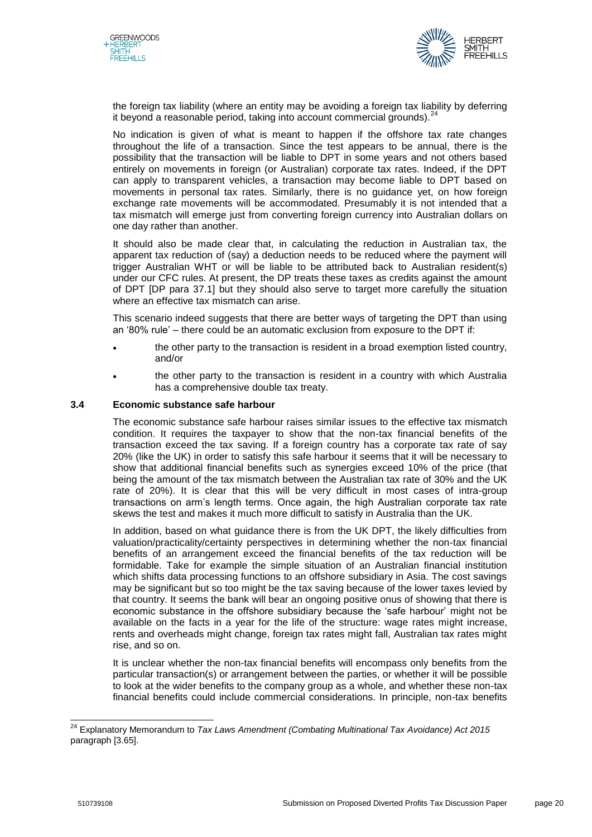



the foreign tax liability (where an entity may be avoiding a foreign tax liability by deferring it beyond a reasonable period, taking into account commercial grounds).<sup>24</sup>

No indication is given of what is meant to happen if the offshore tax rate changes throughout the life of a transaction. Since the test appears to be annual, there is the possibility that the transaction will be liable to DPT in some years and not others based entirely on movements in foreign (or Australian) corporate tax rates. Indeed, if the DPT can apply to transparent vehicles, a transaction may become liable to DPT based on movements in personal tax rates. Similarly, there is no guidance yet, on how foreign exchange rate movements will be accommodated. Presumably it is not intended that a tax mismatch will emerge just from converting foreign currency into Australian dollars on one day rather than another.

It should also be made clear that, in calculating the reduction in Australian tax, the apparent tax reduction of (say) a deduction needs to be reduced where the payment will trigger Australian WHT or will be liable to be attributed back to Australian resident(s) under our CFC rules. At present, the DP treats these taxes as credits against the amount of DPT [DP para 37.1] but they should also serve to target more carefully the situation where an effective tax mismatch can arise.

This scenario indeed suggests that there are better ways of targeting the DPT than using an '80% rule' – there could be an automatic exclusion from exposure to the DPT if:

- the other party to the transaction is resident in a broad exemption listed country, and/or
- the other party to the transaction is resident in a country with which Australia has a comprehensive double tax treaty.

# **3.4 Economic substance safe harbour**

The economic substance safe harbour raises similar issues to the effective tax mismatch condition. It requires the taxpayer to show that the non-tax financial benefits of the transaction exceed the tax saving. If a foreign country has a corporate tax rate of say 20% (like the UK) in order to satisfy this safe harbour it seems that it will be necessary to show that additional financial benefits such as synergies exceed 10% of the price (that being the amount of the tax mismatch between the Australian tax rate of 30% and the UK rate of 20%). It is clear that this will be very difficult in most cases of intra-group transactions on arm's length terms. Once again, the high Australian corporate tax rate skews the test and makes it much more difficult to satisfy in Australia than the UK.

In addition, based on what guidance there is from the UK DPT, the likely difficulties from valuation/practicality/certainty perspectives in determining whether the non-tax financial benefits of an arrangement exceed the financial benefits of the tax reduction will be formidable. Take for example the simple situation of an Australian financial institution which shifts data processing functions to an offshore subsidiary in Asia. The cost savings may be significant but so too might be the tax saving because of the lower taxes levied by that country. It seems the bank will bear an ongoing positive onus of showing that there is economic substance in the offshore subsidiary because the 'safe harbour' might not be available on the facts in a year for the life of the structure: wage rates might increase, rents and overheads might change, foreign tax rates might fall, Australian tax rates might rise, and so on.

It is unclear whether the non-tax financial benefits will encompass only benefits from the particular transaction(s) or arrangement between the parties, or whether it will be possible to look at the wider benefits to the company group as a whole, and whether these non-tax financial benefits could include commercial considerations. In principle, non-tax benefits

<sup>24</sup> Explanatory Memorandum to *Tax Laws Amendment (Combating Multinational Tax Avoidance) Act 2015* paragraph [3.65].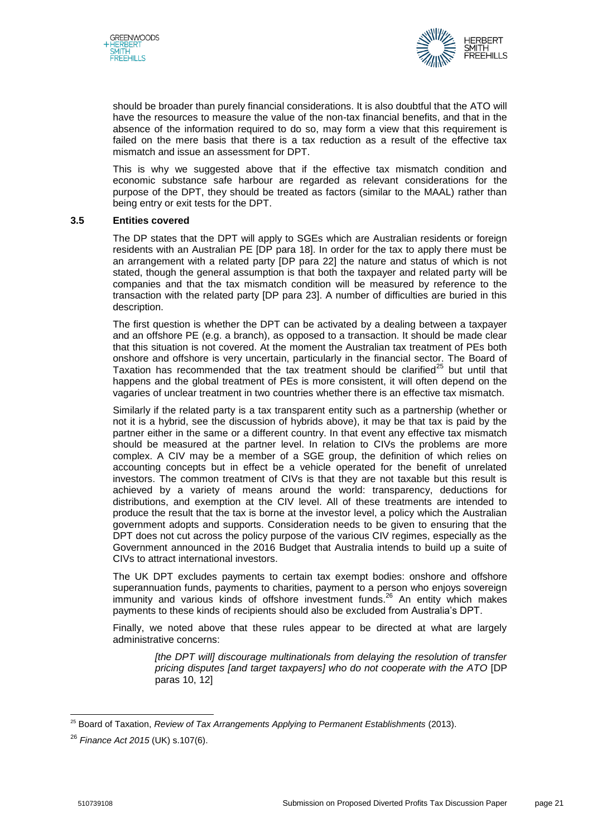



should be broader than purely financial considerations. It is also doubtful that the ATO will have the resources to measure the value of the non-tax financial benefits, and that in the absence of the information required to do so, may form a view that this requirement is failed on the mere basis that there is a tax reduction as a result of the effective tax mismatch and issue an assessment for DPT.

This is why we suggested above that if the effective tax mismatch condition and economic substance safe harbour are regarded as relevant considerations for the purpose of the DPT, they should be treated as factors (similar to the MAAL) rather than being entry or exit tests for the DPT.

#### **3.5 Entities covered**

The DP states that the DPT will apply to SGEs which are Australian residents or foreign residents with an Australian PE [DP para 18]. In order for the tax to apply there must be an arrangement with a related party [DP para 22] the nature and status of which is not stated, though the general assumption is that both the taxpayer and related party will be companies and that the tax mismatch condition will be measured by reference to the transaction with the related party [DP para 23]. A number of difficulties are buried in this description.

The first question is whether the DPT can be activated by a dealing between a taxpayer and an offshore PE (e.g. a branch), as opposed to a transaction. It should be made clear that this situation is not covered. At the moment the Australian tax treatment of PEs both onshore and offshore is very uncertain, particularly in the financial sector. The Board of Taxation has recommended that the tax treatment should be clarified $^{25}$  but until that happens and the global treatment of PEs is more consistent, it will often depend on the vagaries of unclear treatment in two countries whether there is an effective tax mismatch.

Similarly if the related party is a tax transparent entity such as a partnership (whether or not it is a hybrid, see the discussion of hybrids above), it may be that tax is paid by the partner either in the same or a different country. In that event any effective tax mismatch should be measured at the partner level. In relation to CIVs the problems are more complex. A CIV may be a member of a SGE group, the definition of which relies on accounting concepts but in effect be a vehicle operated for the benefit of unrelated investors. The common treatment of CIVs is that they are not taxable but this result is achieved by a variety of means around the world: transparency, deductions for distributions, and exemption at the CIV level. All of these treatments are intended to produce the result that the tax is borne at the investor level, a policy which the Australian government adopts and supports. Consideration needs to be given to ensuring that the DPT does not cut across the policy purpose of the various CIV regimes, especially as the Government announced in the 2016 Budget that Australia intends to build up a suite of CIVs to attract international investors.

The UK DPT excludes payments to certain tax exempt bodies: onshore and offshore superannuation funds, payments to charities, payment to a person who enjoys sovereign immunity and various kinds of offshore investment funds.<sup>26</sup> An entity which makes payments to these kinds of recipients should also be excluded from Australia's DPT.

Finally, we noted above that these rules appear to be directed at what are largely administrative concerns:

*[the DPT will] discourage multinationals from delaying the resolution of transfer pricing disputes [and target taxpayers] who do not cooperate with the ATO* [DP paras 10, 12]

<sup>25</sup> Board of Taxation, *Review of Tax Arrangements Applying to Permanent Establishments* (2013).

<sup>26</sup> *Finance Act 2015* (UK) s.107(6).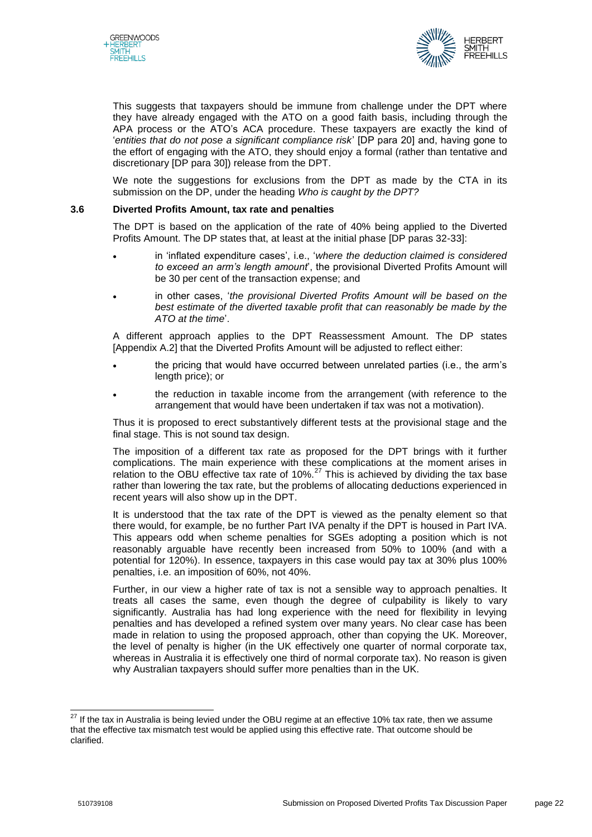



This suggests that taxpayers should be immune from challenge under the DPT where they have already engaged with the ATO on a good faith basis, including through the APA process or the ATO's ACA procedure. These taxpayers are exactly the kind of '*entities that do not pose a significant compliance risk*' [DP para 20] and, having gone to the effort of engaging with the ATO, they should enjoy a formal (rather than tentative and discretionary [DP para 30]) release from the DPT.

We note the suggestions for exclusions from the DPT as made by the CTA in its submission on the DP, under the heading *Who is caught by the DPT?*

#### **3.6 Diverted Profits Amount, tax rate and penalties**

The DPT is based on the application of the rate of 40% being applied to the Diverted Profits Amount. The DP states that, at least at the initial phase [DP paras 32-33]:

- in 'inflated expenditure cases', i.e., '*where the deduction claimed is considered to exceed an arm's length amount*', the provisional Diverted Profits Amount will be 30 per cent of the transaction expense; and
- in other cases, '*the provisional Diverted Profits Amount will be based on the*  best estimate of the diverted taxable profit that can reasonably be made by the *ATO at the time*'.

A different approach applies to the DPT Reassessment Amount. The DP states [Appendix A.2] that the Diverted Profits Amount will be adjusted to reflect either:

- the pricing that would have occurred between unrelated parties (i.e., the arm's length price); or
- the reduction in taxable income from the arrangement (with reference to the arrangement that would have been undertaken if tax was not a motivation).

Thus it is proposed to erect substantively different tests at the provisional stage and the final stage. This is not sound tax design.

The imposition of a different tax rate as proposed for the DPT brings with it further complications. The main experience with these complications at the moment arises in relation to the OBU effective tax rate of 10%.<sup>27</sup> This is achieved by dividing the tax base rather than lowering the tax rate, but the problems of allocating deductions experienced in recent years will also show up in the DPT.

It is understood that the tax rate of the DPT is viewed as the penalty element so that there would, for example, be no further Part IVA penalty if the DPT is housed in Part IVA. This appears odd when scheme penalties for SGEs adopting a position which is not reasonably arguable have recently been increased from 50% to 100% (and with a potential for 120%). In essence, taxpayers in this case would pay tax at 30% plus 100% penalties, i.e. an imposition of 60%, not 40%.

Further, in our view a higher rate of tax is not a sensible way to approach penalties. It treats all cases the same, even though the degree of culpability is likely to vary significantly. Australia has had long experience with the need for flexibility in levying penalties and has developed a refined system over many years. No clear case has been made in relation to using the proposed approach, other than copying the UK. Moreover, the level of penalty is higher (in the UK effectively one quarter of normal corporate tax, whereas in Australia it is effectively one third of normal corporate tax). No reason is given why Australian taxpayers should suffer more penalties than in the UK.

 $^{27}$  If the tax in Australia is being levied under the OBU regime at an effective 10% tax rate, then we assume that the effective tax mismatch test would be applied using this effective rate. That outcome should be clarified.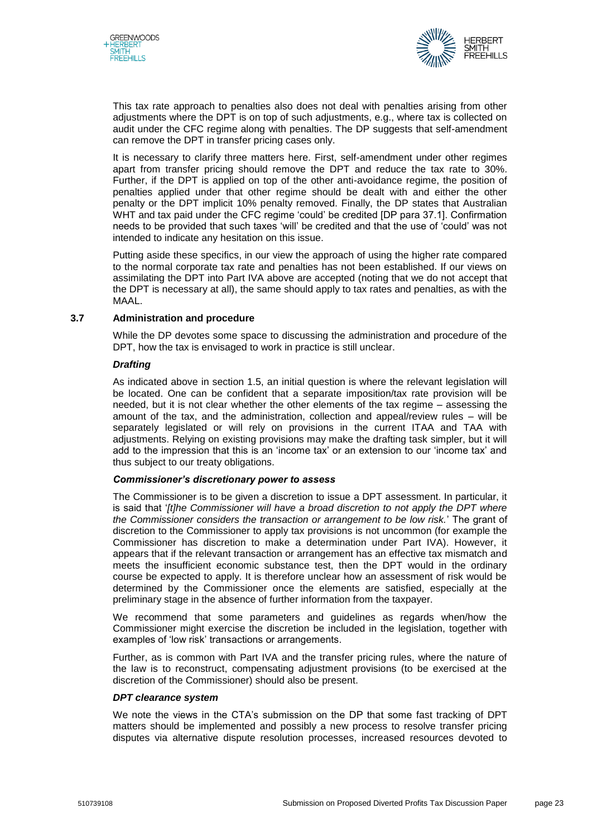



This tax rate approach to penalties also does not deal with penalties arising from other adjustments where the DPT is on top of such adjustments, e.g., where tax is collected on audit under the CFC regime along with penalties. The DP suggests that self-amendment can remove the DPT in transfer pricing cases only.

It is necessary to clarify three matters here. First, self-amendment under other regimes apart from transfer pricing should remove the DPT and reduce the tax rate to 30%. Further, if the DPT is applied on top of the other anti-avoidance regime, the position of penalties applied under that other regime should be dealt with and either the other penalty or the DPT implicit 10% penalty removed. Finally, the DP states that Australian WHT and tax paid under the CFC regime 'could' be credited [DP para 37.1]. Confirmation needs to be provided that such taxes 'will' be credited and that the use of 'could' was not intended to indicate any hesitation on this issue.

Putting aside these specifics, in our view the approach of using the higher rate compared to the normal corporate tax rate and penalties has not been established. If our views on assimilating the DPT into Part IVA above are accepted (noting that we do not accept that the DPT is necessary at all), the same should apply to tax rates and penalties, as with the MAAL.

# **3.7 Administration and procedure**

While the DP devotes some space to discussing the administration and procedure of the DPT, how the tax is envisaged to work in practice is still unclear.

#### *Drafting*

As indicated above in section 1.5, an initial question is where the relevant legislation will be located. One can be confident that a separate imposition/tax rate provision will be needed, but it is not clear whether the other elements of the tax regime – assessing the amount of the tax, and the administration, collection and appeal/review rules – will be separately legislated or will rely on provisions in the current ITAA and TAA with adjustments. Relying on existing provisions may make the drafting task simpler, but it will add to the impression that this is an 'income tax' or an extension to our 'income tax' and thus subject to our treaty obligations.

#### *Commissioner's discretionary power to assess*

The Commissioner is to be given a discretion to issue a DPT assessment. In particular, it is said that '*[t]he Commissioner will have a broad discretion to not apply the DPT where the Commissioner considers the transaction or arrangement to be low risk.*' The grant of discretion to the Commissioner to apply tax provisions is not uncommon (for example the Commissioner has discretion to make a determination under Part IVA). However, it appears that if the relevant transaction or arrangement has an effective tax mismatch and meets the insufficient economic substance test, then the DPT would in the ordinary course be expected to apply. It is therefore unclear how an assessment of risk would be determined by the Commissioner once the elements are satisfied, especially at the preliminary stage in the absence of further information from the taxpayer.

We recommend that some parameters and guidelines as regards when/how the Commissioner might exercise the discretion be included in the legislation, together with examples of 'low risk' transactions or arrangements.

Further, as is common with Part IVA and the transfer pricing rules, where the nature of the law is to reconstruct, compensating adjustment provisions (to be exercised at the discretion of the Commissioner) should also be present.

# *DPT clearance system*

We note the views in the CTA's submission on the DP that some fast tracking of DPT matters should be implemented and possibly a new process to resolve transfer pricing disputes via alternative dispute resolution processes, increased resources devoted to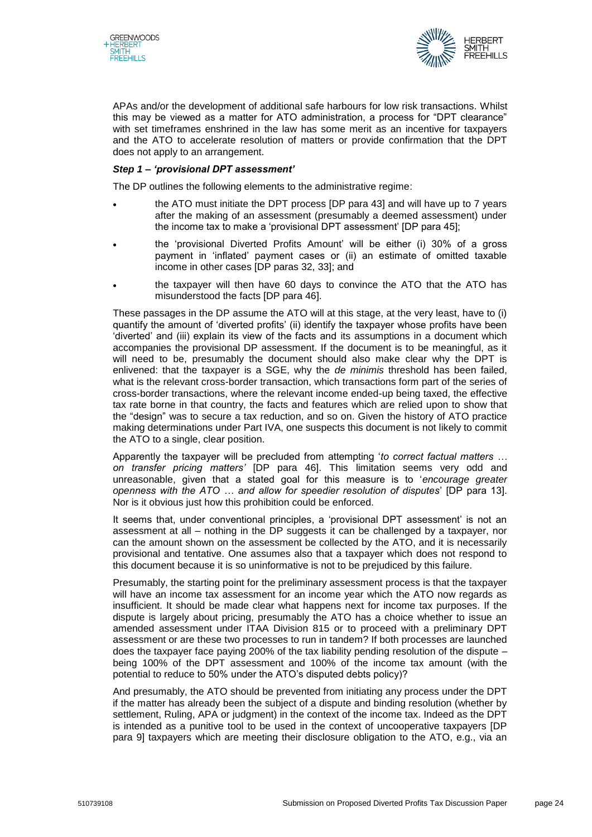



APAs and/or the development of additional safe harbours for low risk transactions. Whilst this may be viewed as a matter for ATO administration, a process for "DPT clearance" with set timeframes enshrined in the law has some merit as an incentive for taxpayers and the ATO to accelerate resolution of matters or provide confirmation that the DPT does not apply to an arrangement.

# *Step 1 – 'provisional DPT assessment'*

The DP outlines the following elements to the administrative regime:

- the ATO must initiate the DPT process [DP para 43] and will have up to 7 years after the making of an assessment (presumably a deemed assessment) under the income tax to make a 'provisional DPT assessment' [DP para 45];
- the 'provisional Diverted Profits Amount' will be either (i) 30% of a gross payment in 'inflated' payment cases or (ii) an estimate of omitted taxable income in other cases [DP paras 32, 33]; and
- the taxpayer will then have 60 days to convince the ATO that the ATO has misunderstood the facts [DP para 46].

These passages in the DP assume the ATO will at this stage, at the very least, have to (i) quantify the amount of 'diverted profits' (ii) identify the taxpayer whose profits have been 'diverted' and (iii) explain its view of the facts and its assumptions in a document which accompanies the provisional DP assessment. If the document is to be meaningful, as it will need to be, presumably the document should also make clear why the DPT is enlivened: that the taxpayer is a SGE, why the *de minimis* threshold has been failed, what is the relevant cross-border transaction, which transactions form part of the series of cross-border transactions, where the relevant income ended-up being taxed, the effective tax rate borne in that country, the facts and features which are relied upon to show that the "design" was to secure a tax reduction, and so on. Given the history of ATO practice making determinations under Part IVA, one suspects this document is not likely to commit the ATO to a single, clear position.

Apparently the taxpayer will be precluded from attempting '*to correct factual matters … on transfer pricing matters'* [DP para 46]. This limitation seems very odd and unreasonable, given that a stated goal for this measure is to '*encourage greater openness with the ATO … and allow for speedier resolution of disputes*' [DP para 13]. Nor is it obvious just how this prohibition could be enforced.

It seems that, under conventional principles, a 'provisional DPT assessment' is not an assessment at all – nothing in the DP suggests it can be challenged by a taxpayer, nor can the amount shown on the assessment be collected by the ATO, and it is necessarily provisional and tentative. One assumes also that a taxpayer which does not respond to this document because it is so uninformative is not to be prejudiced by this failure.

Presumably, the starting point for the preliminary assessment process is that the taxpayer will have an income tax assessment for an income year which the ATO now regards as insufficient. It should be made clear what happens next for income tax purposes. If the dispute is largely about pricing, presumably the ATO has a choice whether to issue an amended assessment under ITAA Division 815 or to proceed with a preliminary DPT assessment or are these two processes to run in tandem? If both processes are launched does the taxpayer face paying 200% of the tax liability pending resolution of the dispute – being 100% of the DPT assessment and 100% of the income tax amount (with the potential to reduce to 50% under the ATO's disputed debts policy)?

And presumably, the ATO should be prevented from initiating any process under the DPT if the matter has already been the subject of a dispute and binding resolution (whether by settlement, Ruling, APA or judgment) in the context of the income tax. Indeed as the DPT is intended as a punitive tool to be used in the context of uncooperative taxpayers [DP para 9] taxpayers which are meeting their disclosure obligation to the ATO, e.g., via an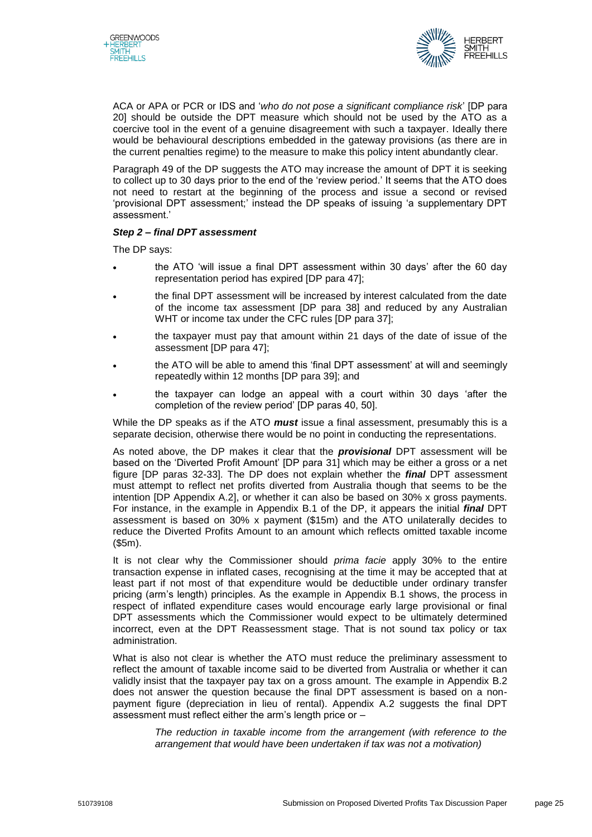



ACA or APA or PCR or IDS and '*who do not pose a significant compliance risk*' [DP para 20] should be outside the DPT measure which should not be used by the ATO as a coercive tool in the event of a genuine disagreement with such a taxpayer. Ideally there would be behavioural descriptions embedded in the gateway provisions (as there are in the current penalties regime) to the measure to make this policy intent abundantly clear.

Paragraph 49 of the DP suggests the ATO may increase the amount of DPT it is seeking to collect up to 30 days prior to the end of the 'review period.' It seems that the ATO does not need to restart at the beginning of the process and issue a second or revised 'provisional DPT assessment;' instead the DP speaks of issuing 'a supplementary DPT assessment.'

# *Step 2 – final DPT assessment*

The DP says:

- the ATO 'will issue a final DPT assessment within 30 days' after the 60 day representation period has expired [DP para 47];
- the final DPT assessment will be increased by interest calculated from the date of the income tax assessment [DP para 38] and reduced by any Australian WHT or income tax under the CFC rules [DP para 37];
- the taxpayer must pay that amount within 21 days of the date of issue of the assessment [DP para 47];
- the ATO will be able to amend this 'final DPT assessment' at will and seemingly repeatedly within 12 months [DP para 39]; and
- the taxpayer can lodge an appeal with a court within 30 days 'after the completion of the review period' [DP paras 40, 50].

While the DP speaks as if the ATO *must* issue a final assessment, presumably this is a separate decision, otherwise there would be no point in conducting the representations.

As noted above, the DP makes it clear that the *provisional* DPT assessment will be based on the 'Diverted Profit Amount' [DP para 31] which may be either a gross or a net figure [DP paras 32-33]. The DP does not explain whether the *final* DPT assessment must attempt to reflect net profits diverted from Australia though that seems to be the intention [DP Appendix A.2], or whether it can also be based on 30% x gross payments. For instance, in the example in Appendix B.1 of the DP, it appears the initial *final* DPT assessment is based on 30% x payment (\$15m) and the ATO unilaterally decides to reduce the Diverted Profits Amount to an amount which reflects omitted taxable income (\$5m).

It is not clear why the Commissioner should *prima facie* apply 30% to the entire transaction expense in inflated cases, recognising at the time it may be accepted that at least part if not most of that expenditure would be deductible under ordinary transfer pricing (arm's length) principles. As the example in Appendix B.1 shows, the process in respect of inflated expenditure cases would encourage early large provisional or final DPT assessments which the Commissioner would expect to be ultimately determined incorrect, even at the DPT Reassessment stage. That is not sound tax policy or tax administration.

What is also not clear is whether the ATO must reduce the preliminary assessment to reflect the amount of taxable income said to be diverted from Australia or whether it can validly insist that the taxpayer pay tax on a gross amount. The example in Appendix B.2 does not answer the question because the final DPT assessment is based on a nonpayment figure (depreciation in lieu of rental). Appendix A.2 suggests the final DPT assessment must reflect either the arm's length price or –

*The reduction in taxable income from the arrangement (with reference to the arrangement that would have been undertaken if tax was not a motivation)*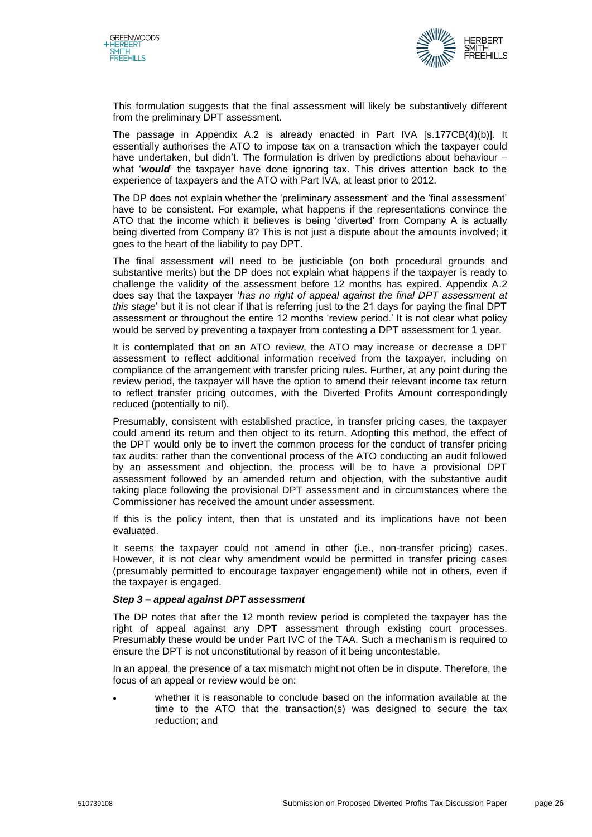



This formulation suggests that the final assessment will likely be substantively different from the preliminary DPT assessment.

The passage in Appendix A.2 is already enacted in Part IVA [s.177CB(4)(b)]. It essentially authorises the ATO to impose tax on a transaction which the taxpayer could have undertaken, but didn't. The formulation is driven by predictions about behaviour what '*would*' the taxpayer have done ignoring tax. This drives attention back to the experience of taxpayers and the ATO with Part IVA, at least prior to 2012.

The DP does not explain whether the 'preliminary assessment' and the 'final assessment' have to be consistent. For example, what happens if the representations convince the ATO that the income which it believes is being 'diverted' from Company A is actually being diverted from Company B? This is not just a dispute about the amounts involved; it goes to the heart of the liability to pay DPT.

The final assessment will need to be justiciable (on both procedural grounds and substantive merits) but the DP does not explain what happens if the taxpayer is ready to challenge the validity of the assessment before 12 months has expired. Appendix A.2 does say that the taxpayer '*has no right of appeal against the final DPT assessment at this stage*' but it is not clear if that is referring just to the 21 days for paying the final DPT assessment or throughout the entire 12 months 'review period.' It is not clear what policy would be served by preventing a taxpayer from contesting a DPT assessment for 1 year.

It is contemplated that on an ATO review, the ATO may increase or decrease a DPT assessment to reflect additional information received from the taxpayer, including on compliance of the arrangement with transfer pricing rules. Further, at any point during the review period, the taxpayer will have the option to amend their relevant income tax return to reflect transfer pricing outcomes, with the Diverted Profits Amount correspondingly reduced (potentially to nil).

Presumably, consistent with established practice, in transfer pricing cases, the taxpayer could amend its return and then object to its return. Adopting this method, the effect of the DPT would only be to invert the common process for the conduct of transfer pricing tax audits: rather than the conventional process of the ATO conducting an audit followed by an assessment and objection, the process will be to have a provisional DPT assessment followed by an amended return and objection, with the substantive audit taking place following the provisional DPT assessment and in circumstances where the Commissioner has received the amount under assessment.

If this is the policy intent, then that is unstated and its implications have not been evaluated.

It seems the taxpayer could not amend in other (i.e., non-transfer pricing) cases. However, it is not clear why amendment would be permitted in transfer pricing cases (presumably permitted to encourage taxpayer engagement) while not in others, even if the taxpayer is engaged.

# *Step 3 – appeal against DPT assessment*

The DP notes that after the 12 month review period is completed the taxpayer has the right of appeal against any DPT assessment through existing court processes. Presumably these would be under Part IVC of the TAA. Such a mechanism is required to ensure the DPT is not unconstitutional by reason of it being uncontestable.

In an appeal, the presence of a tax mismatch might not often be in dispute. Therefore, the focus of an appeal or review would be on:

 whether it is reasonable to conclude based on the information available at the time to the ATO that the transaction(s) was designed to secure the tax reduction; and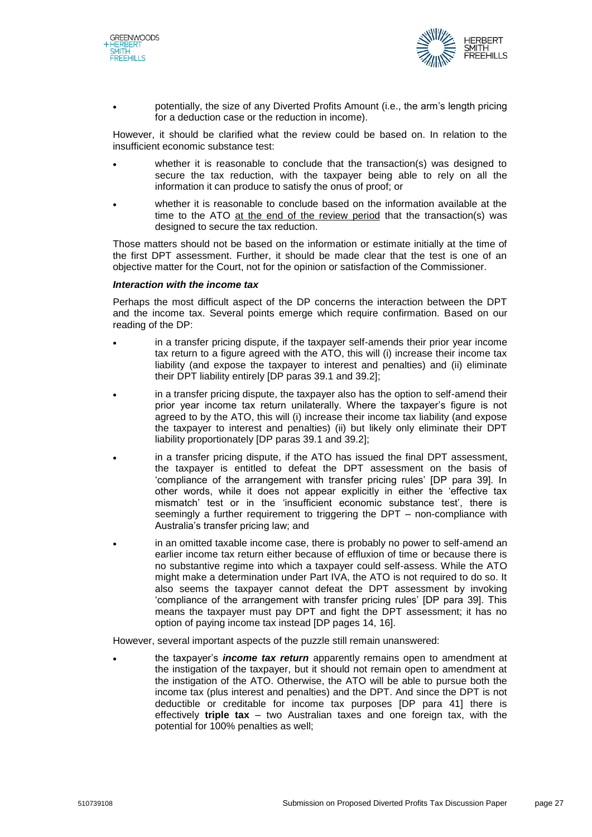



 potentially, the size of any Diverted Profits Amount (i.e., the arm's length pricing for a deduction case or the reduction in income).

However, it should be clarified what the review could be based on. In relation to the insufficient economic substance test:

- whether it is reasonable to conclude that the transaction(s) was designed to secure the tax reduction, with the taxpayer being able to rely on all the information it can produce to satisfy the onus of proof; or
- whether it is reasonable to conclude based on the information available at the time to the ATO at the end of the review period that the transaction(s) was designed to secure the tax reduction.

Those matters should not be based on the information or estimate initially at the time of the first DPT assessment. Further, it should be made clear that the test is one of an objective matter for the Court, not for the opinion or satisfaction of the Commissioner.

#### *Interaction with the income tax*

Perhaps the most difficult aspect of the DP concerns the interaction between the DPT and the income tax. Several points emerge which require confirmation. Based on our reading of the DP:

- in a transfer pricing dispute, if the taxpayer self-amends their prior year income tax return to a figure agreed with the ATO, this will (i) increase their income tax liability (and expose the taxpayer to interest and penalties) and (ii) eliminate their DPT liability entirely [DP paras 39.1 and 39.2];
- in a transfer pricing dispute, the taxpayer also has the option to self-amend their prior year income tax return unilaterally. Where the taxpayer's figure is not agreed to by the ATO, this will (i) increase their income tax liability (and expose the taxpayer to interest and penalties) (ii) but likely only eliminate their DPT liability proportionately [DP paras 39.1 and 39.2];
- in a transfer pricing dispute, if the ATO has issued the final DPT assessment, the taxpayer is entitled to defeat the DPT assessment on the basis of 'compliance of the arrangement with transfer pricing rules' [DP para 39]. In other words, while it does not appear explicitly in either the 'effective tax mismatch' test or in the 'insufficient economic substance test', there is seemingly a further requirement to triggering the DPT – non-compliance with Australia's transfer pricing law; and
- in an omitted taxable income case, there is probably no power to self-amend an earlier income tax return either because of effluxion of time or because there is no substantive regime into which a taxpayer could self-assess. While the ATO might make a determination under Part IVA, the ATO is not required to do so. It also seems the taxpayer cannot defeat the DPT assessment by invoking 'compliance of the arrangement with transfer pricing rules' [DP para 39]. This means the taxpayer must pay DPT and fight the DPT assessment; it has no option of paying income tax instead [DP pages 14, 16].

However, several important aspects of the puzzle still remain unanswered:

 the taxpayer's *income tax return* apparently remains open to amendment at the instigation of the taxpayer, but it should not remain open to amendment at the instigation of the ATO. Otherwise, the ATO will be able to pursue both the income tax (plus interest and penalties) and the DPT. And since the DPT is not deductible or creditable for income tax purposes [DP para 41] there is effectively **triple tax** – two Australian taxes and one foreign tax, with the potential for 100% penalties as well;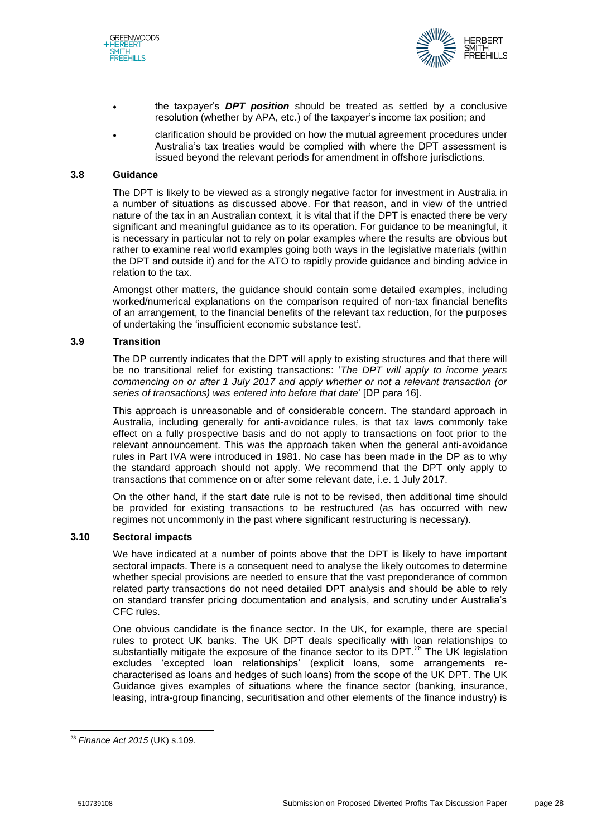



- the taxpayer's *DPT position* should be treated as settled by a conclusive resolution (whether by APA, etc.) of the taxpayer's income tax position; and
- clarification should be provided on how the mutual agreement procedures under Australia's tax treaties would be complied with where the DPT assessment is issued beyond the relevant periods for amendment in offshore jurisdictions.

#### **3.8 Guidance**

The DPT is likely to be viewed as a strongly negative factor for investment in Australia in a number of situations as discussed above. For that reason, and in view of the untried nature of the tax in an Australian context, it is vital that if the DPT is enacted there be very significant and meaningful guidance as to its operation. For guidance to be meaningful, it is necessary in particular not to rely on polar examples where the results are obvious but rather to examine real world examples going both ways in the legislative materials (within the DPT and outside it) and for the ATO to rapidly provide guidance and binding advice in relation to the tax.

Amongst other matters, the guidance should contain some detailed examples, including worked/numerical explanations on the comparison required of non-tax financial benefits of an arrangement, to the financial benefits of the relevant tax reduction, for the purposes of undertaking the 'insufficient economic substance test'.

#### **3.9 Transition**

The DP currently indicates that the DPT will apply to existing structures and that there will be no transitional relief for existing transactions: '*The DPT will apply to income years commencing on or after 1 July 2017 and apply whether or not a relevant transaction (or series of transactions) was entered into before that date*' [DP para 16].

This approach is unreasonable and of considerable concern. The standard approach in Australia, including generally for anti-avoidance rules, is that tax laws commonly take effect on a fully prospective basis and do not apply to transactions on foot prior to the relevant announcement. This was the approach taken when the general anti-avoidance rules in Part IVA were introduced in 1981. No case has been made in the DP as to why the standard approach should not apply. We recommend that the DPT only apply to transactions that commence on or after some relevant date, i.e. 1 July 2017.

On the other hand, if the start date rule is not to be revised, then additional time should be provided for existing transactions to be restructured (as has occurred with new regimes not uncommonly in the past where significant restructuring is necessary).

# **3.10 Sectoral impacts**

We have indicated at a number of points above that the DPT is likely to have important sectoral impacts. There is a consequent need to analyse the likely outcomes to determine whether special provisions are needed to ensure that the vast preponderance of common related party transactions do not need detailed DPT analysis and should be able to rely on standard transfer pricing documentation and analysis, and scrutiny under Australia's CFC rules.

One obvious candidate is the finance sector. In the UK, for example, there are special rules to protect UK banks. The UK DPT deals specifically with loan relationships to substantially mitigate the exposure of the finance sector to its DPT. $^{28}$  The UK legislation excludes 'excepted loan relationships' (explicit loans, some arrangements recharacterised as loans and hedges of such loans) from the scope of the UK DPT. The UK Guidance gives examples of situations where the finance sector (banking, insurance, leasing, intra-group financing, securitisation and other elements of the finance industry) is

<sup>28</sup> *Finance Act 2015* (UK) s.109.